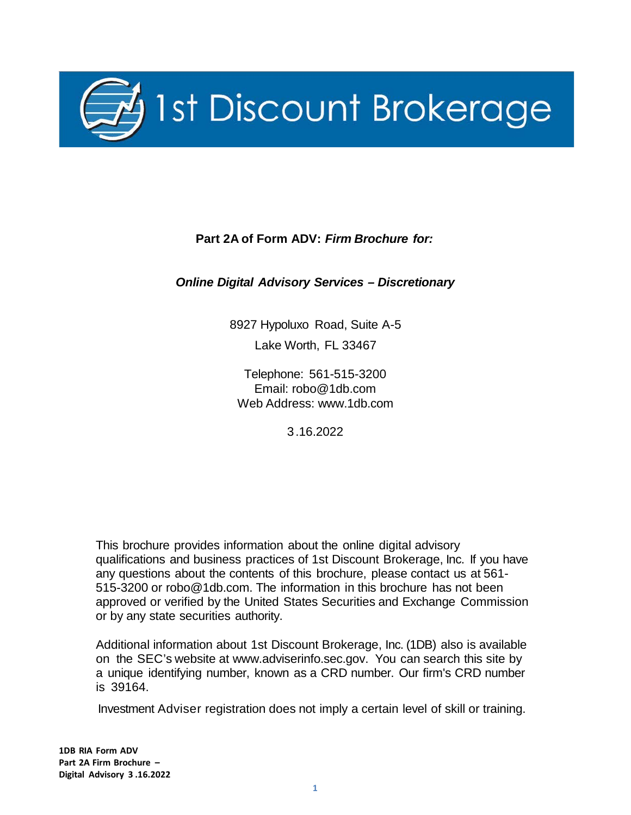

# **Part 2A of Form ADV:** *Firm Brochure for:*

## <span id="page-0-0"></span>*Online Digital Advisory Services – Discretionary*

8927 Hypoluxo Road, Suite A-5 Lake Worth, FL 33467

Telephone: 561-515-3200 Email: [robo@1db.com](mailto:robo@1db.com) Web Address: [www.1db.com](http://www.1db.com/)

3.16.2022

This brochure provides information about the online digital advisory qualifications and business practices of 1st Discount Brokerage, Inc. If you have any questions about the contents of this brochure, please contact us at 561- 515-3200 or [robo@1db.com.](mailto:robo@1db.com) The information in this brochure has not been approved or verified by the United States Securities and Exchange Commission or by any state securities authority.

Additional information about 1st Discount Brokerage, Inc. (1DB) also is available on the SEC's website at [www.adviserinfo.sec.gov.](http://www.adviserinfo.sec.gov/) You can search this site by a unique identifying number, known as a CRD number. Our firm's CRD number is 39164.

Investment Adviser registration does not imply a certain level of skill or training.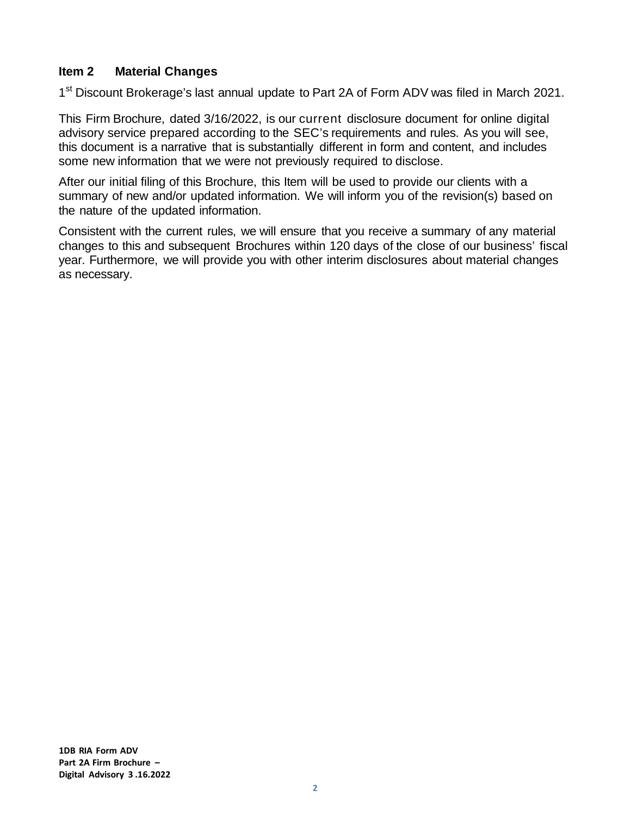### <span id="page-1-0"></span>**Item 2 Material Changes**

1<sup>st</sup> Discount Brokerage's last annual update to Part 2A of Form ADV was filed in March 2021.

This Firm Brochure, dated 3/16/2022, is our current disclosure document for online digital advisory service prepared according to the SEC's requirements and rules. As you will see, this document is a narrative that is substantially different in form and content, and includes some new information that we were not previously required to disclose.

After our initial filing of this Brochure, this Item will be used to provide our clients with a summary of new and/or updated information. We will inform you of the revision(s) based on the nature of the updated information.

Consistent with the current rules, we will ensure that you receive a summary of any material changes to this and subsequent Brochures within 120 days of the close of our business' fiscal year. Furthermore, we will provide you with other interim disclosures about material changes as necessary.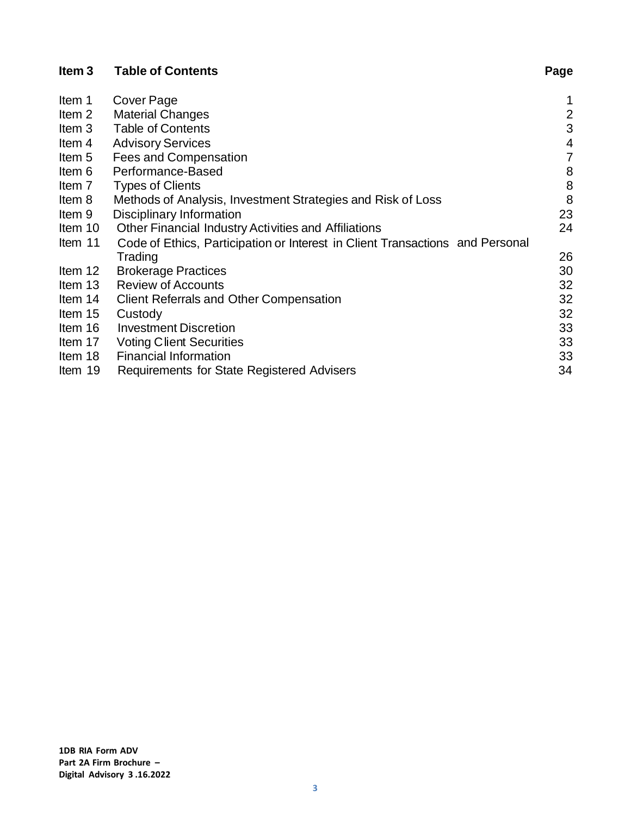<span id="page-2-0"></span>

| Item <sub>3</sub> | <b>Table of Contents</b>                                                      | Page           |
|-------------------|-------------------------------------------------------------------------------|----------------|
| Item 1            | Cover Page                                                                    |                |
| Item 2            | <b>Material Changes</b>                                                       | $\overline{2}$ |
| Item 3            | <b>Table of Contents</b>                                                      | 3              |
| Item 4            | <b>Advisory Services</b>                                                      | $\overline{4}$ |
| Item 5            | Fees and Compensation                                                         | 7              |
| Item 6            | Performance-Based                                                             | 8              |
| Item 7            | <b>Types of Clients</b>                                                       | 8              |
| Item 8            | Methods of Analysis, Investment Strategies and Risk of Loss                   | 8              |
| Item 9            | Disciplinary Information                                                      | 23             |
| Item 10           | Other Financial Industry Activities and Affiliations                          | 24             |
| Item 11           | Code of Ethics, Participation or Interest in Client Transactions and Personal |                |
|                   | Trading                                                                       | 26             |
| Item 12           | <b>Brokerage Practices</b>                                                    | 30             |
| Item 13           | <b>Review of Accounts</b>                                                     | 32             |
| Item 14           | <b>Client Referrals and Other Compensation</b>                                | 32             |
| Item 15           | Custody                                                                       | 32             |
| Item 16           | <b>Investment Discretion</b>                                                  | 33             |
| Item 17           | <b>Voting Client Securities</b>                                               | 33             |
| Item 18           | <b>Financial Information</b>                                                  | 33             |
| Item 19           | Requirements for State Registered Advisers                                    | 34             |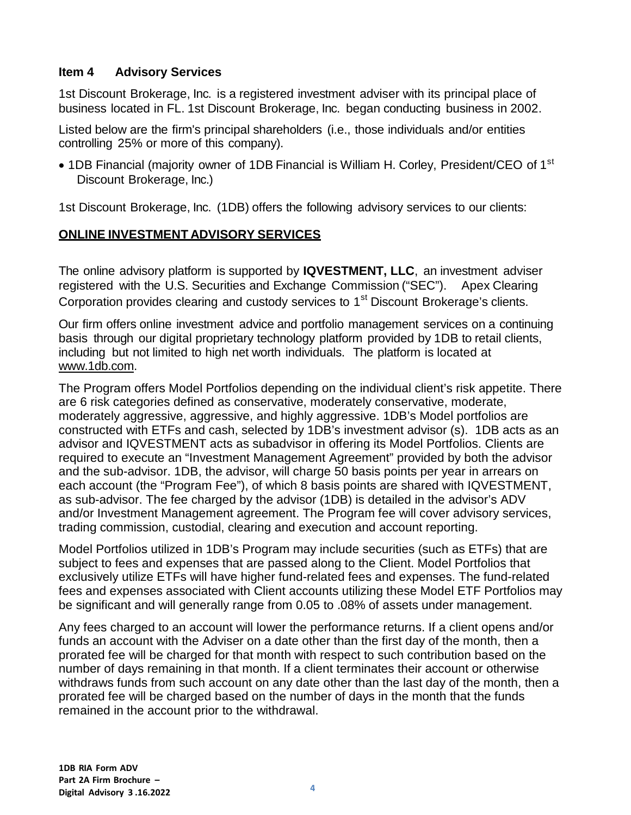### <span id="page-3-0"></span>**Item 4 Advisory Services**

1st Discount Brokerage, Inc. is a registered investment adviser with its principal place of business located in FL. 1st Discount Brokerage, Inc. began conducting business in 2002.

Listed below are the firm's principal shareholders (i.e., those individuals and/or entities controlling 25% or more of this company).

• 1DB Financial (majority owner of 1DB Financial is William H. Corley, President/CEO of 1<sup>st</sup> Discount Brokerage, Inc.)

1st Discount Brokerage, Inc. (1DB) offers the following advisory services to our clients:

# <span id="page-3-1"></span>**ONLINE INVESTMENT ADVISORY SERVICES**

The online advisory platform is supported by **IQVESTMENT, LLC**, an investment adviser registered with the U.S. Securities and Exchange Commission ("SEC"). Apex Clearing Corporation provides clearing and custody services to 1<sup>st</sup> Discount Brokerage's clients.

Our firm offers online investment advice and portfolio management services on a continuing basis through our digital proprietary technology platform provided by 1DB to retail clients, including but not limited to high net worth individuals. The platform is located at [www.1db.com.](http://www.1db.com/)

The Program offers Model Portfolios depending on the individual client's risk appetite. There are 6 risk categories defined as conservative, moderately conservative, moderate, moderately aggressive, aggressive, and highly aggressive. 1DB's Model portfolios are constructed with ETFs and cash, selected by 1DB's investment advisor (s). 1DB acts as an advisor and IQVESTMENT acts as subadvisor in offering its Model Portfolios. Clients are required to execute an "Investment Management Agreement" provided by both the advisor and the sub-advisor. 1DB, the advisor, will charge 50 basis points per year in arrears on each account (the "Program Fee"), of which 8 basis points are shared with IQVESTMENT, as sub-advisor. The fee charged by the advisor (1DB) is detailed in the advisor's ADV and/or Investment Management agreement. The Program fee will cover advisory services, trading commission, custodial, clearing and execution and account reporting.

Model Portfolios utilized in 1DB's Program may include securities (such as ETFs) that are subject to fees and expenses that are passed along to the Client. Model Portfolios that exclusively utilize ETFs will have higher fund-related fees and expenses. The fund-related fees and expenses associated with Client accounts utilizing these Model ETF Portfolios may be significant and will generally range from 0.05 to .08% of assets under management.

Any fees charged to an account will lower the performance returns. If a client opens and/or funds an account with the Adviser on a date other than the first day of the month, then a prorated fee will be charged for that month with respect to such contribution based on the number of days remaining in that month. If a client terminates their account or otherwise withdraws funds from such account on any date other than the last day of the month, then a prorated fee will be charged based on the number of days in the month that the funds remained in the account prior to the withdrawal.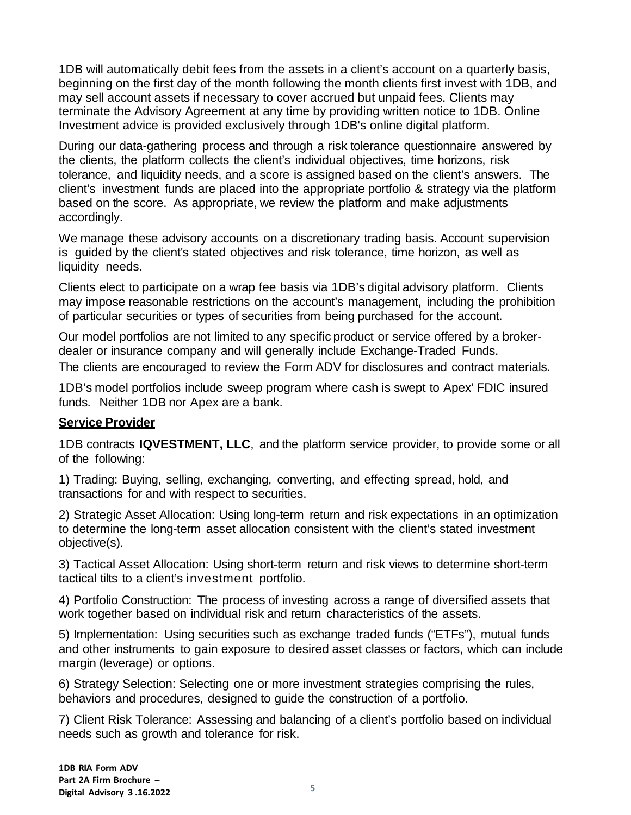1DB will automatically debit fees from the assets in a client's account on a quarterly basis, beginning on the first day of the month following the month clients first invest with 1DB, and may sell account assets if necessary to cover accrued but unpaid fees. Clients may terminate the Advisory Agreement at any time by providing written notice to 1DB. Online Investment advice is provided exclusively through 1DB's online digital platform.

During our data-gathering process and through a risk tolerance questionnaire answered by the clients, the platform collects the client's individual objectives, time horizons, risk tolerance, and liquidity needs, and a score is assigned based on the client's answers. The client's investment funds are placed into the appropriate portfolio & strategy via the platform based on the score. As appropriate, we review the platform and make adjustments accordingly.

We manage these advisory accounts on a discretionary trading basis. Account supervision is guided by the client's stated objectives and risk tolerance, time horizon, as well as liquidity needs.

Clients elect to participate on a wrap fee basis via 1DB's digital advisory platform. Clients may impose reasonable restrictions on the account's management, including the prohibition of particular securities or types of securities from being purchased for the account.

Our model portfolios are not limited to any specific product or service offered by a brokerdealer or insurance company and will generally include Exchange-Traded Funds.

The clients are encouraged to review the Form ADV for disclosures and contract materials.

1DB's model portfolios include sweep program where cash is swept to Apex' FDIC insured funds. Neither 1DB nor Apex are a bank.

### <span id="page-4-0"></span>**Service Provider**

1DB contracts **IQVESTMENT, LLC**, and the platform service provider, to provide some or all of the following:

1) Trading: Buying, selling, exchanging, converting, and effecting spread, hold, and transactions for and with respect to securities.

2) Strategic Asset Allocation: Using long-term return and risk expectations in an optimization to determine the long-term asset allocation consistent with the client's stated investment objective(s).

3) Tactical Asset Allocation: Using short-term return and risk views to determine short-term tactical tilts to a client's investment portfolio.

4) Portfolio Construction: The process of investing across a range of diversified assets that work together based on individual risk and return characteristics of the assets.

5) Implementation: Using securities such as exchange traded funds ("ETFs"), mutual funds and other instruments to gain exposure to desired asset classes or factors, which can include margin (leverage) or options.

6) Strategy Selection: Selecting one or more investment strategies comprising the rules, behaviors and procedures, designed to guide the construction of a portfolio.

7) Client Risk Tolerance: Assessing and balancing of a client's portfolio based on individual needs such as growth and tolerance for risk.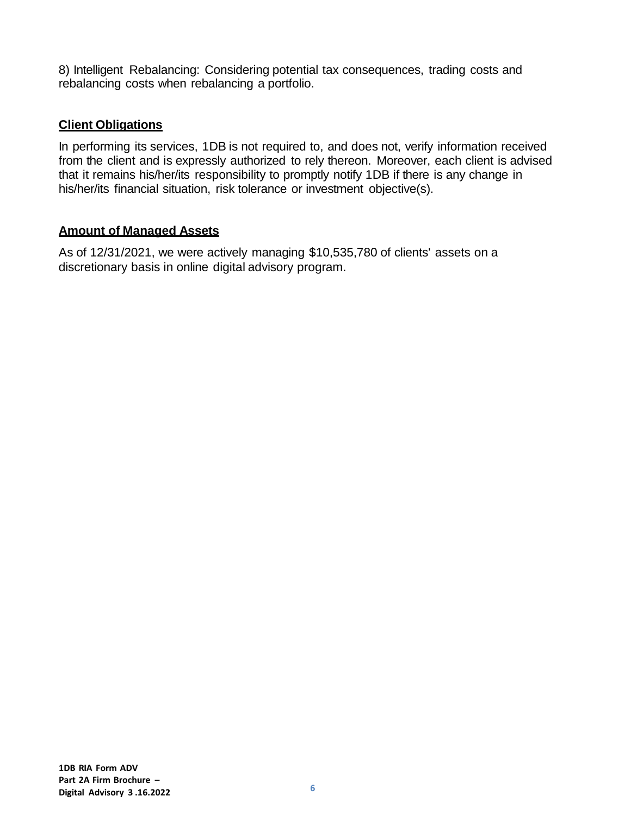8) Intelligent Rebalancing: Considering potential tax consequences, trading costs and rebalancing costs when rebalancing a portfolio.

### <span id="page-5-1"></span>**Client Obligations**

In performing its services, 1DB is not required to, and does not, verify information received from the client and is expressly authorized to rely thereon. Moreover, each client is advised that it remains his/her/its responsibility to promptly notify 1DB if there is any change in his/her/its financial situation, risk tolerance or investment objective(s).

## <span id="page-5-2"></span>**Amount of Managed Assets**

<span id="page-5-0"></span>As of 12/31/2021, we were actively managing \$10,535,780 of clients' assets on a discretionary basis in online digital advisory program.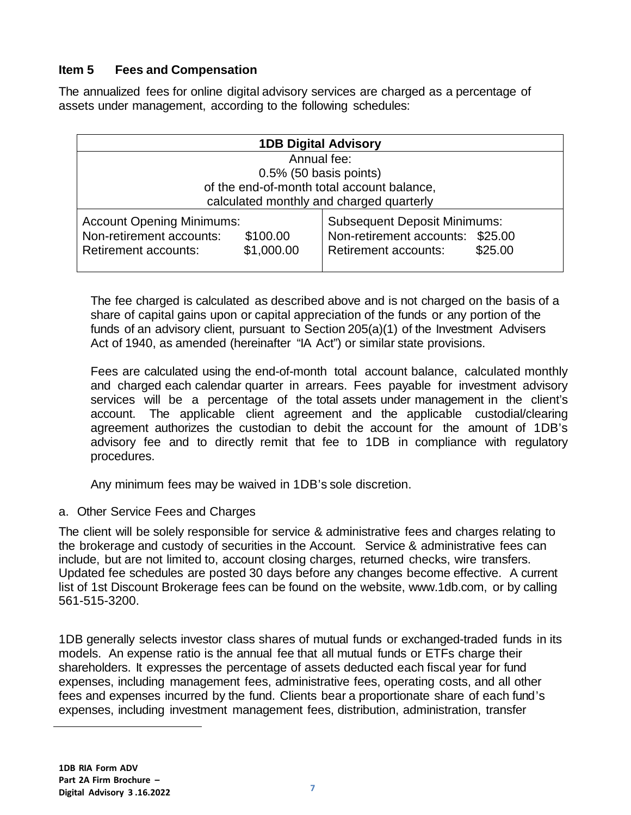# <span id="page-6-0"></span>**Item 5 Fees and Compensation**

The annualized fees for online digital advisory services are charged as a percentage of assets under management, according to the following schedules:

| <b>1DB Digital Advisory</b>                                                                                           |                                                                                                                   |  |  |
|-----------------------------------------------------------------------------------------------------------------------|-------------------------------------------------------------------------------------------------------------------|--|--|
| Annual fee:                                                                                                           |                                                                                                                   |  |  |
| $0.5\%$ (50 basis points)                                                                                             |                                                                                                                   |  |  |
| of the end-of-month total account balance,<br>calculated monthly and charged quarterly                                |                                                                                                                   |  |  |
| <b>Account Opening Minimums:</b><br>Non-retirement accounts:<br>\$100.00<br>\$1,000.00<br><b>Retirement accounts:</b> | <b>Subsequent Deposit Minimums:</b><br>Non-retirement accounts: \$25.00<br>\$25.00<br><b>Retirement accounts:</b> |  |  |

The fee charged is calculated as described above and is not charged on the basis of a share of capital gains upon or capital appreciation of the funds or any portion of the funds of an advisory client, pursuant to Section 205(a)(1) of the Investment Advisers Act of 1940, as amended (hereinafter "IA Act") or similar state provisions.

Fees are calculated using the end-of-month total account balance, calculated monthly and charged each calendar quarter in arrears. Fees payable for investment advisory services will be a percentage of the total assets under management in the client's account. The applicable client agreement and the applicable custodial/clearing agreement authorizes the custodian to debit the account for the amount of 1DB's advisory fee and to directly remit that fee to 1DB in compliance with regulatory procedures.

Any minimum fees may be waived in 1DB's sole discretion.

a. Other Service Fees and Charges

The client will be solely responsible for service & administrative fees and charges relating to the brokerage and custody of securities in the Account. Service & administrative fees can include, but are not limited to, account closing charges, returned checks, wire transfers. Updated fee schedules are posted 30 days before any changes become effective. A current list of 1st Discount Brokerage fees can be found on the website, [www.1db.com,](http://www.1db.com/) or by calling 561-515-3200.

1DB generally selects investor class shares of mutual funds or exchanged-traded funds in its models. An expense ratio is the annual fee that all mutual funds or ETFs charge their shareholders. It expresses the percentage of assets deducted each fiscal year for fund expenses, including management fees, administrative fees, operating costs, and all other fees and expenses incurred by the fund. Clients bear a proportionate share of each fund's expenses, including investment management fees, distribution, administration, transfer

<span id="page-6-1"></span> $\overline{a}$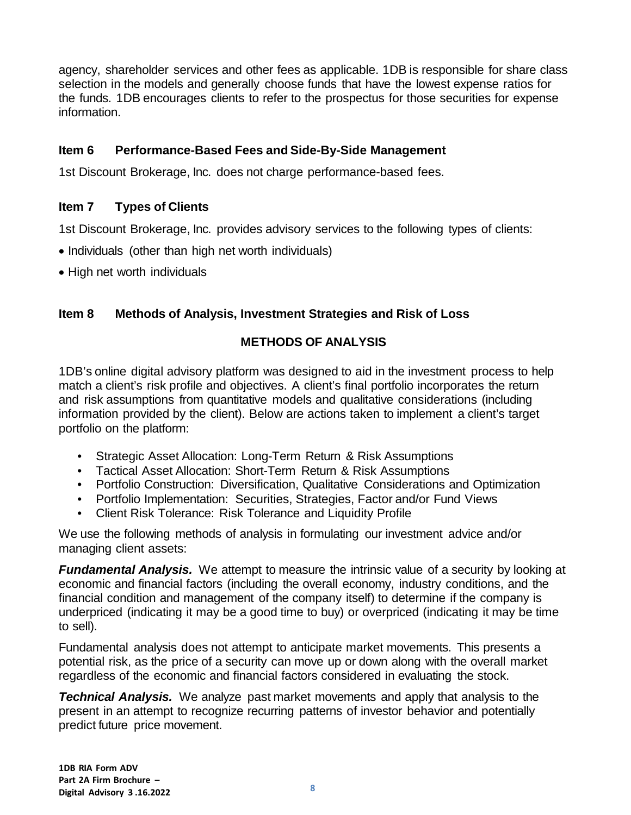agency, shareholder services and other fees as applicable. 1DB is responsible for share class selection in the models and generally choose funds that have the lowest expense ratios for the funds. 1DB encourages clients to refer to the prospectus for those securities for expense information.

## <span id="page-7-0"></span>**Item 6 Performance-Based Fees and Side-By-Side Management**

1st Discount Brokerage, Inc. does not charge performance-based fees.

# <span id="page-7-1"></span>**Item 7 Types of Clients**

1st Discount Brokerage, Inc. provides advisory services to the following types of clients:

- Individuals (other than high net worth individuals)
- High net worth individuals

# <span id="page-7-2"></span>**Item 8 Methods of Analysis, Investment Strategies and Risk of Loss**

# **METHODS OF ANALYSIS**

1DB's online digital advisory platform was designed to aid in the investment process to help match a client's risk profile and objectives. A client's final portfolio incorporates the return and risk assumptions from quantitative models and qualitative considerations (including information provided by the client). Below are actions taken to implement a client's target portfolio on the platform:

- Strategic Asset Allocation: Long-Term Return & Risk Assumptions
- Tactical Asset Allocation: Short-Term Return & Risk Assumptions
- Portfolio Construction: Diversification, Qualitative Considerations and Optimization
- Portfolio Implementation: Securities, Strategies, Factor and/or Fund Views
- Client Risk Tolerance: Risk Tolerance and Liquidity Profile

We use the following methods of analysis in formulating our investment advice and/or managing client assets:

*Fundamental Analysis.* We attempt to measure the intrinsic value of a security by looking at economic and financial factors (including the overall economy, industry conditions, and the financial condition and management of the company itself) to determine if the company is underpriced (indicating it may be a good time to buy) or overpriced (indicating it may be time to sell).

Fundamental analysis does not attempt to anticipate market movements. This presents a potential risk, as the price of a security can move up or down along with the overall market regardless of the economic and financial factors considered in evaluating the stock.

*Technical Analysis.* We analyze past market movements and apply that analysis to the present in an attempt to recognize recurring patterns of investor behavior and potentially predict future price movement.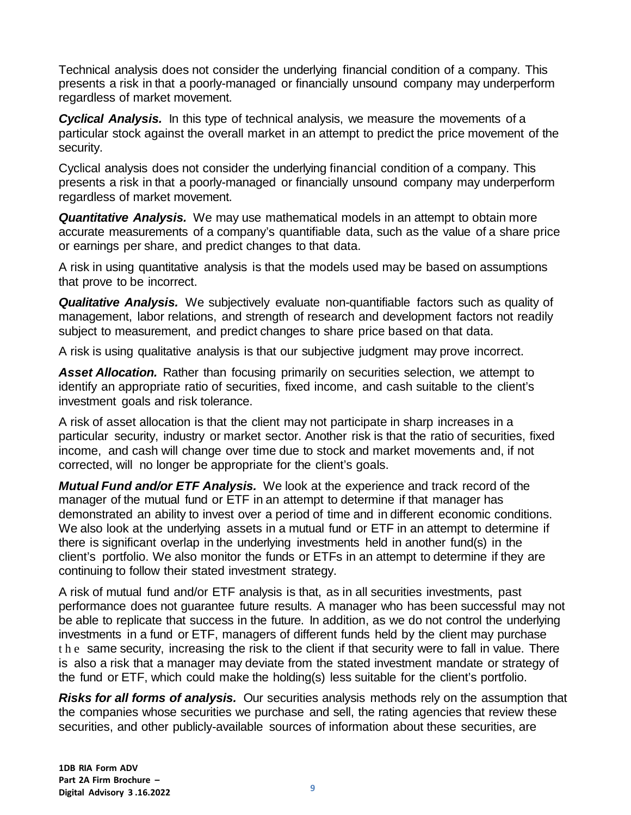Technical analysis does not consider the underlying financial condition of a company. This presents a risk in that a poorly-managed or financially unsound company may underperform regardless of market movement.

*Cyclical Analysis.* In this type of technical analysis, we measure the movements of a particular stock against the overall market in an attempt to predict the price movement of the security.

Cyclical analysis does not consider the underlying financial condition of a company. This presents a risk in that a poorly-managed or financially unsound company may underperform regardless of market movement.

*Quantitative Analysis.* We may use mathematical models in an attempt to obtain more accurate measurements of a company's quantifiable data, such as the value of a share price or earnings per share, and predict changes to that data.

A risk in using quantitative analysis is that the models used may be based on assumptions that prove to be incorrect.

*Qualitative Analysis.* We subjectively evaluate non-quantifiable factors such as quality of management, labor relations, and strength of research and development factors not readily subject to measurement, and predict changes to share price based on that data.

A risk is using qualitative analysis is that our subjective judgment may prove incorrect.

*Asset Allocation.* Rather than focusing primarily on securities selection, we attempt to identify an appropriate ratio of securities, fixed income, and cash suitable to the client's investment goals and risk tolerance.

A risk of asset allocation is that the client may not participate in sharp increases in a particular security, industry or market sector. Another risk is that the ratio of securities, fixed income, and cash will change over time due to stock and market movements and, if not corrected, will no longer be appropriate for the client's goals.

*Mutual Fund and/or ETF Analysis.* We look at the experience and track record of the manager of the mutual fund or ETF in an attempt to determine if that manager has demonstrated an ability to invest over a period of time and in different economic conditions. We also look at the underlying assets in a mutual fund or ETF in an attempt to determine if there is significant overlap in the underlying investments held in another fund(s) in the client's portfolio. We also monitor the funds or ETFs in an attempt to determine if they are continuing to follow their stated investment strategy.

A risk of mutual fund and/or ETF analysis is that, as in all securities investments, past performance does not guarantee future results. A manager who has been successful may not be able to replicate that success in the future. In addition, as we do not control the underlying investments in a fund or ETF, managers of different funds held by the client may purchase the same security, increasing the risk to the client if that security were to fall in value. There is also a risk that a manager may deviate from the stated investment mandate or strategy of the fund or ETF, which could make the holding(s) less suitable for the client's portfolio.

*Risks for all forms of analysis.* Our securities analysis methods rely on the assumption that the companies whose securities we purchase and sell, the rating agencies that review these securities, and other publicly-available sources of information about these securities, are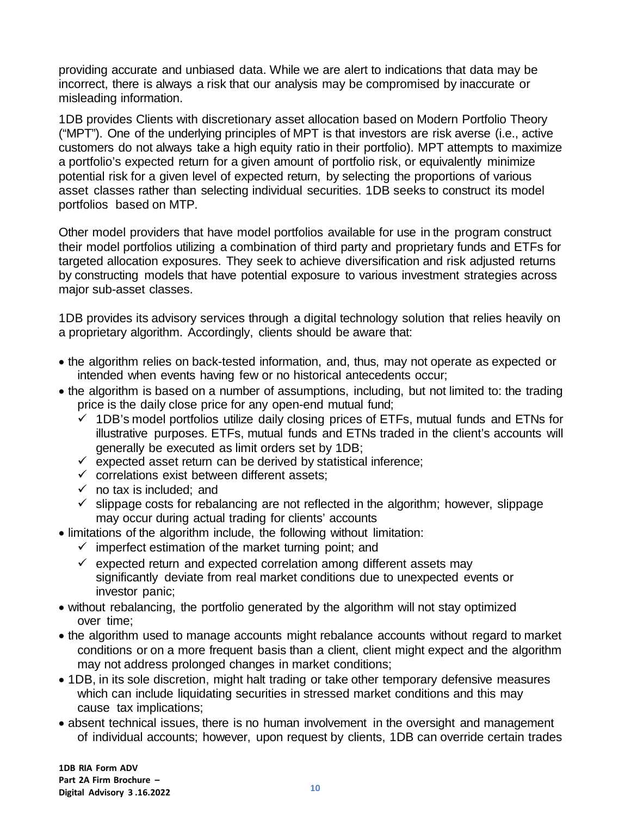providing accurate and unbiased data. While we are alert to indications that data may be incorrect, there is always a risk that our analysis may be compromised by inaccurate or misleading information.

1DB provides Clients with discretionary asset allocation based on Modern Portfolio Theory ("MPT"). One of the underlying principles of MPT is that investors are risk averse (i.e., active customers do not always take a high equity ratio in their portfolio). MPT attempts to maximize a portfolio's expected return for a given amount of portfolio risk, or equivalently minimize potential risk for a given level of expected return, by selecting the proportions of various asset classes rather than selecting individual securities. 1DB seeks to construct its model portfolios based on MTP.

Other model providers that have model portfolios available for use in the program construct their model portfolios utilizing a combination of third party and proprietary funds and ETFs for targeted allocation exposures. They seek to achieve diversification and risk adjusted returns by constructing models that have potential exposure to various investment strategies across major sub-asset classes.

1DB provides its advisory services through a digital technology solution that relies heavily on a proprietary algorithm. Accordingly, clients should be aware that:

- the algorithm relies on back-tested information, and, thus, may not operate as expected or intended when events having few or no historical antecedents occur;
- the algorithm is based on a number of assumptions, including, but not limited to: the trading price is the daily close price for any open-end mutual fund;
	- $\checkmark$  1DB's model portfolios utilize daily closing prices of ETFs, mutual funds and ETNs for illustrative purposes. ETFs, mutual funds and ETNs traded in the client's accounts will generally be executed as limit orders set by 1DB;
	- $\checkmark$  expected asset return can be derived by statistical inference;
	- $\checkmark$  correlations exist between different assets;
	- $\checkmark$  no tax is included; and
	- $\checkmark$  slippage costs for rebalancing are not reflected in the algorithm; however, slippage may occur during actual trading for clients' accounts
- limitations of the algorithm include, the following without limitation:
	- $\checkmark$  imperfect estimation of the market turning point; and
	- $\checkmark$  expected return and expected correlation among different assets may significantly deviate from real market conditions due to unexpected events or investor panic;
- without rebalancing, the portfolio generated by the algorithm will not stay optimized over time;
- the algorithm used to manage accounts might rebalance accounts without regard to market conditions or on a more frequent basis than a client, client might expect and the algorithm may not address prolonged changes in market conditions;
- 1DB, in its sole discretion, might halt trading or take other temporary defensive measures which can include liquidating securities in stressed market conditions and this may cause tax implications;
- absent technical issues, there is no human involvement in the oversight and management of individual accounts; however, upon request by clients, 1DB can override certain trades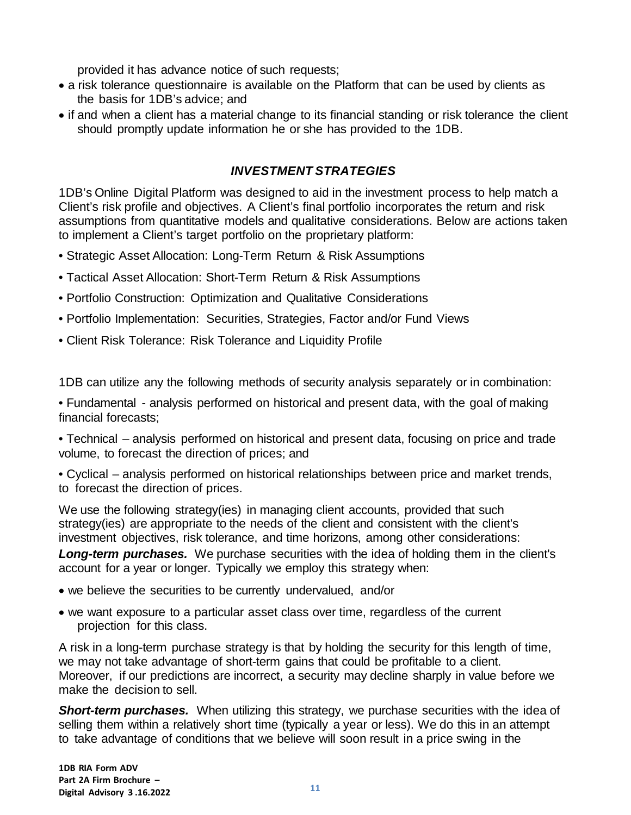provided it has advance notice of such requests;

- a risk tolerance questionnaire is available on the Platform that can be used by clients as the basis for 1DB's advice; and
- if and when a client has a material change to its financial standing or risk tolerance the client should promptly update information he or she has provided to the 1DB.

## *INVESTMENT STRATEGIES*

1DB's Online Digital Platform was designed to aid in the investment process to help match a Client's risk profile and objectives. A Client's final portfolio incorporates the return and risk assumptions from quantitative models and qualitative considerations. Below are actions taken to implement a Client's target portfolio on the proprietary platform:

- Strategic Asset Allocation: Long-Term Return & Risk Assumptions
- Tactical Asset Allocation: Short-Term Return & Risk Assumptions
- Portfolio Construction: Optimization and Qualitative Considerations
- Portfolio Implementation: Securities, Strategies, Factor and/or Fund Views
- Client Risk Tolerance: Risk Tolerance and Liquidity Profile

1DB can utilize any the following methods of security analysis separately or in combination:

• Fundamental - analysis performed on historical and present data, with the goal of making financial forecasts;

• Technical – analysis performed on historical and present data, focusing on price and trade volume, to forecast the direction of prices; and

• Cyclical – analysis performed on historical relationships between price and market trends, to forecast the direction of prices.

We use the following strategy(ies) in managing client accounts, provided that such strategy(ies) are appropriate to the needs of the client and consistent with the client's investment objectives, risk tolerance, and time horizons, among other considerations:

*Long-term purchases.* We purchase securities with the idea of holding them in the client's account for a year or longer. Typically we employ this strategy when:

- we believe the securities to be currently undervalued, and/or
- we want exposure to a particular asset class over time, regardless of the current projection for this class.

A risk in a long-term purchase strategy is that by holding the security for this length of time, we may not take advantage of short-term gains that could be profitable to a client. Moreover, if our predictions are incorrect, a security may decline sharply in value before we make the decision to sell.

*Short-term purchases.* When utilizing this strategy, we purchase securities with the idea of selling them within a relatively short time (typically a year or less). We do this in an attempt to take advantage of conditions that we believe will soon result in a price swing in the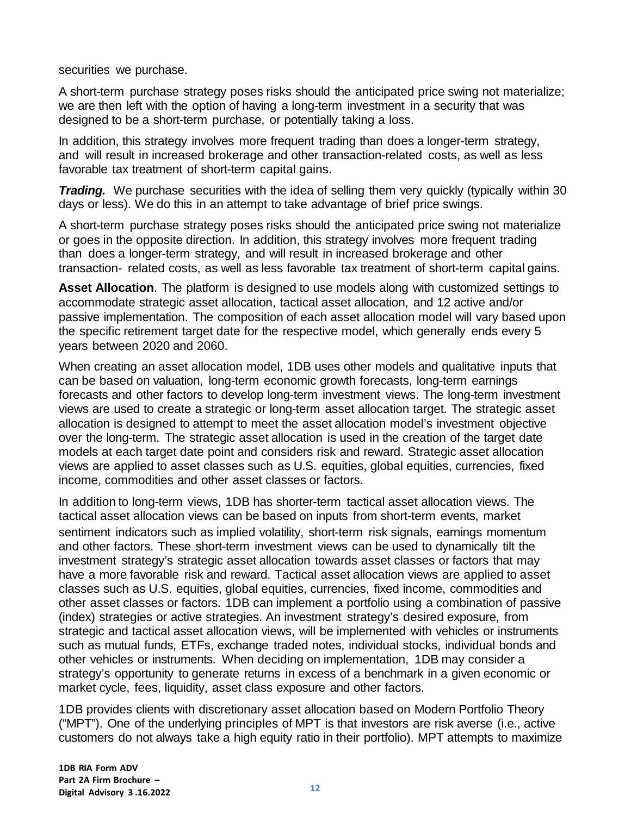securities we purchase.

A short-term purchase strategy poses risks should the anticipated price swing not materialize; we are then left with the option of having a long-term investment in a security that was designed to be a short-term purchase, or potentially taking a loss.

In addition, this strategy involves more frequent trading than does a longer-term strategy, and will result in increased brokerage and other transaction-related costs, as well as less favorable tax treatment of short-term capital gains.

*Trading.* We purchase securities with the idea of selling them very quickly (typically within 30) days or less). We do this in an attempt to take advantage of brief price swings.

A short-term purchase strategy poses risks should the anticipated price swing not materialize or goes in the opposite direction. In addition, this strategy involves more frequent trading than does a longer-term strategy, and will result in increased brokerage and other transaction- related costs, as well as less favorable tax treatment of short-term capital gains.

**Asset Allocation**. The platform is designed to use models along with customized settings to accommodate strategic asset allocation, tactical asset allocation, and 12 active and/or passive implementation. The composition of each asset allocation model will vary based upon the specific retirement target date for the respective model, which generally ends every 5 years between 2020 and 2060.

When creating an asset allocation model, 1DB uses other models and qualitative inputs that can be based on valuation, long-term economic growth forecasts, long-term earnings forecasts and other factors to develop long-term investment views. The long-term investment views are used to create a strategic or long-term asset allocation target. The strategic asset allocation is designed to attempt to meet the asset allocation model's investment objective over the long-term. The strategic asset allocation is used in the creation of the target date models at each target date point and considers risk and reward. Strategic asset allocation views are applied to asset classes such as U.S. equities, global equities, currencies, fixed income, commodities and other asset classes or factors.

In addition to long-term views, 1DB has shorter-term tactical asset allocation views. The tactical asset allocation views can be based on inputs from short-term events, market sentiment indicators such as implied volatility, short-term risk signals, earnings momentum and other factors. These short-term investment views can be used to dynamically tilt the investment strategy's strategic asset allocation towards asset classes or factors that may have a more favorable risk and reward. Tactical asset allocation views are applied to asset classes such as U.S. equities, global equities, currencies, fixed income, commodities and other asset classes or factors. 1DB can implement a portfolio using a combination of passive (index) strategies or active strategies. An investment strategy's desired exposure, from strategic and tactical asset allocation views, will be implemented with vehicles or instruments such as mutual funds, ETFs, exchange traded notes, individual stocks, individual bonds and other vehicles or instruments. When deciding on implementation, 1DB may consider a strategy's opportunity to generate returns in excess of a benchmark in a given economic or market cycle, fees, liquidity, asset class exposure and other factors.

1DB provides clients with discretionary asset allocation based on Modern Portfolio Theory ("MPT"). One of the underlying principles of MPT is that investors are risk averse (i.e., active customers do not always take a high equity ratio in their portfolio). MPT attempts to maximize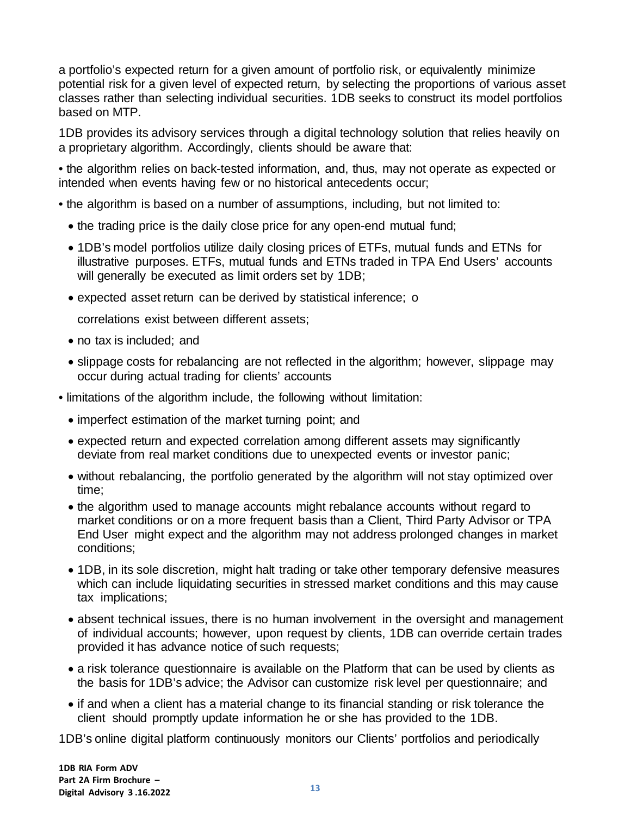a portfolio's expected return for a given amount of portfolio risk, or equivalently minimize potential risk for a given level of expected return, by selecting the proportions of various asset classes rather than selecting individual securities. 1DB seeks to construct its model portfolios based on MTP.

1DB provides its advisory services through a digital technology solution that relies heavily on a proprietary algorithm. Accordingly, clients should be aware that:

• the algorithm relies on back-tested information, and, thus, may not operate as expected or intended when events having few or no historical antecedents occur;

- the algorithm is based on a number of assumptions, including, but not limited to:
	- the trading price is the daily close price for any open-end mutual fund;
	- 1DB's model portfolios utilize daily closing prices of ETFs, mutual funds and ETNs for illustrative purposes. ETFs, mutual funds and ETNs traded in TPA End Users' accounts will generally be executed as limit orders set by 1DB;
	- expected asset return can be derived by statistical inference; o

correlations exist between different assets;

- no tax is included; and
- slippage costs for rebalancing are not reflected in the algorithm; however, slippage may occur during actual trading for clients' accounts
- limitations of the algorithm include, the following without limitation:
	- imperfect estimation of the market turning point; and
	- expected return and expected correlation among different assets may significantly deviate from real market conditions due to unexpected events or investor panic;
	- without rebalancing, the portfolio generated by the algorithm will not stay optimized over time;
	- the algorithm used to manage accounts might rebalance accounts without regard to market conditions or on a more frequent basis than a Client, Third Party Advisor or TPA End User might expect and the algorithm may not address prolonged changes in market conditions;
	- 1DB, in its sole discretion, might halt trading or take other temporary defensive measures which can include liquidating securities in stressed market conditions and this may cause tax implications;
	- absent technical issues, there is no human involvement in the oversight and management of individual accounts; however, upon request by clients, 1DB can override certain trades provided it has advance notice of such requests;
	- a risk tolerance questionnaire is available on the Platform that can be used by clients as the basis for 1DB's advice; the Advisor can customize risk level per questionnaire; and
	- if and when a client has a material change to its financial standing or risk tolerance the client should promptly update information he or she has provided to the 1DB.

1DB's online digital platform continuously monitors our Clients' portfolios and periodically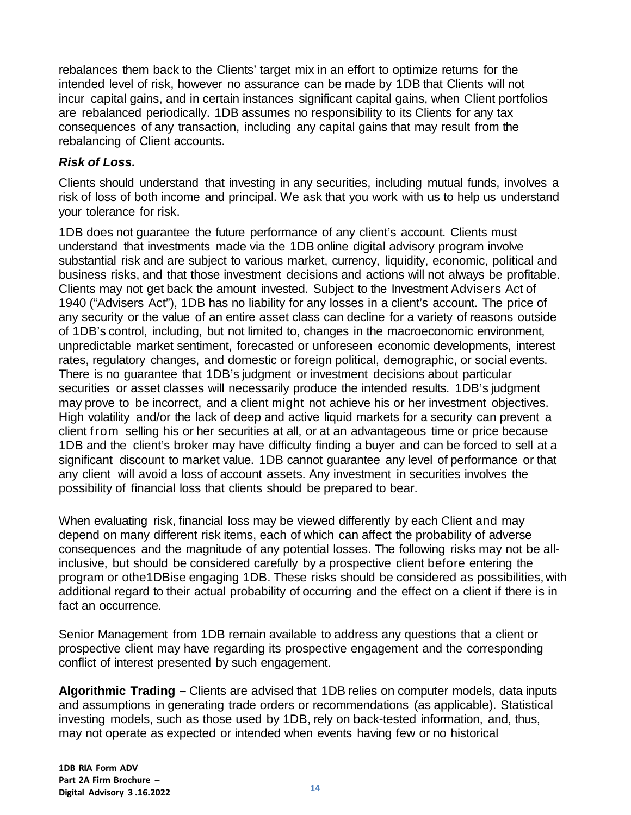rebalances them back to the Clients' target mix in an effort to optimize returns for the intended level of risk, however no assurance can be made by 1DB that Clients will not incur capital gains, and in certain instances significant capital gains, when Client portfolios are rebalanced periodically. 1DB assumes no responsibility to its Clients for any tax consequences of any transaction, including any capital gains that may result from the rebalancing of Client accounts.

### *Risk of Loss.*

Clients should understand that investing in any securities, including mutual funds, involves a risk of loss of both income and principal. We ask that you work with us to help us understand your tolerance for risk.

1DB does not guarantee the future performance of any client's account. Clients must understand that investments made via the 1DB online digital advisory program involve substantial risk and are subject to various market, currency, liquidity, economic, political and business risks, and that those investment decisions and actions will not always be profitable. Clients may not get back the amount invested. Subject to the Investment Advisers Act of 1940 ("Advisers Act"), 1DB has no liability for any losses in a client's account. The price of any security or the value of an entire asset class can decline for a variety of reasons outside of 1DB's control, including, but not limited to, changes in the macroeconomic environment, unpredictable market sentiment, forecasted or unforeseen economic developments, interest rates, regulatory changes, and domestic or foreign political, demographic, or social events. There is no guarantee that 1DB's judgment or investment decisions about particular securities or asset classes will necessarily produce the intended results. 1DB's judgment may prove to be incorrect, and a client might not achieve his or her investment objectives. High volatility and/or the lack of deep and active liquid markets for a security can prevent a client from selling his or her securities at all, or at an advantageous time or price because 1DB and the client's broker may have difficulty finding a buyer and can be forced to sell at a significant discount to market value. 1DB cannot guarantee any level of performance or that any client will avoid a loss of account assets. Any investment in securities involves the possibility of financial loss that clients should be prepared to bear.

When evaluating risk, financial loss may be viewed differently by each Client and may depend on many different risk items, each of which can affect the probability of adverse consequences and the magnitude of any potential losses. The following risks may not be allinclusive, but should be considered carefully by a prospective client before entering the program or othe1DBise engaging 1DB. These risks should be considered as possibilities, with additional regard to their actual probability of occurring and the effect on a client if there is in fact an occurrence.

Senior Management from 1DB remain available to address any questions that a client or prospective client may have regarding its prospective engagement and the corresponding conflict of interest presented by such engagement.

**Algorithmic Trading –** Clients are advised that 1DB relies on computer models, data inputs and assumptions in generating trade orders or recommendations (as applicable). Statistical investing models, such as those used by 1DB, rely on back-tested information, and, thus, may not operate as expected or intended when events having few or no historical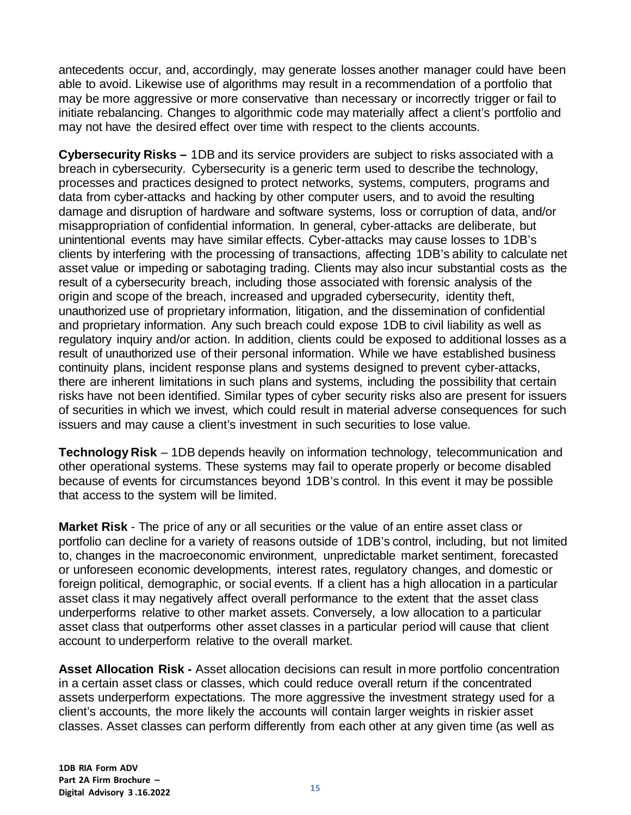antecedents occur, and, accordingly, may generate losses another manager could have been able to avoid. Likewise use of algorithms may result in a recommendation of a portfolio that may be more aggressive or more conservative than necessary or incorrectly trigger or fail to initiate rebalancing. Changes to algorithmic code may materially affect a client's portfolio and may not have the desired effect over time with respect to the clients accounts.

**Cybersecurity Risks –** 1DB and its service providers are subject to risks associated with a breach in cybersecurity. Cybersecurity is a generic term used to describe the technology, processes and practices designed to protect networks, systems, computers, programs and data from cyber-attacks and hacking by other computer users, and to avoid the resulting damage and disruption of hardware and software systems, loss or corruption of data, and/or misappropriation of confidential information. In general, cyber-attacks are deliberate, but unintentional events may have similar effects. Cyber-attacks may cause losses to 1DB's clients by interfering with the processing of transactions, affecting 1DB's ability to calculate net asset value or impeding or sabotaging trading. Clients may also incur substantial costs as the result of a cybersecurity breach, including those associated with forensic analysis of the origin and scope of the breach, increased and upgraded cybersecurity, identity theft, unauthorized use of proprietary information, litigation, and the dissemination of confidential and proprietary information. Any such breach could expose 1DB to civil liability as well as regulatory inquiry and/or action. In addition, clients could be exposed to additional losses as a result of unauthorized use of their personal information. While we have established business continuity plans, incident response plans and systems designed to prevent cyber-attacks, there are inherent limitations in such plans and systems, including the possibility that certain risks have not been identified. Similar types of cyber security risks also are present for issuers of securities in which we invest, which could result in material adverse consequences for such issuers and may cause a client's investment in such securities to lose value.

**Technology Risk** – 1DB depends heavily on information technology, telecommunication and other operational systems. These systems may fail to operate properly or become disabled because of events for circumstances beyond 1DB's control. In this event it may be possible that access to the system will be limited.

**Market Risk** - The price of any or all securities or the value of an entire asset class or portfolio can decline for a variety of reasons outside of 1DB's control, including, but not limited to, changes in the macroeconomic environment, unpredictable market sentiment, forecasted or unforeseen economic developments, interest rates, regulatory changes, and domestic or foreign political, demographic, or social events. If a client has a high allocation in a particular asset class it may negatively affect overall performance to the extent that the asset class underperforms relative to other market assets. Conversely, a low allocation to a particular asset class that outperforms other asset classes in a particular period will cause that client account to underperform relative to the overall market.

**Asset Allocation Risk -** Asset allocation decisions can result in more portfolio concentration in a certain asset class or classes, which could reduce overall return if the concentrated assets underperform expectations. The more aggressive the investment strategy used for a client's accounts, the more likely the accounts will contain larger weights in riskier asset classes. Asset classes can perform differently from each other at any given time (as well as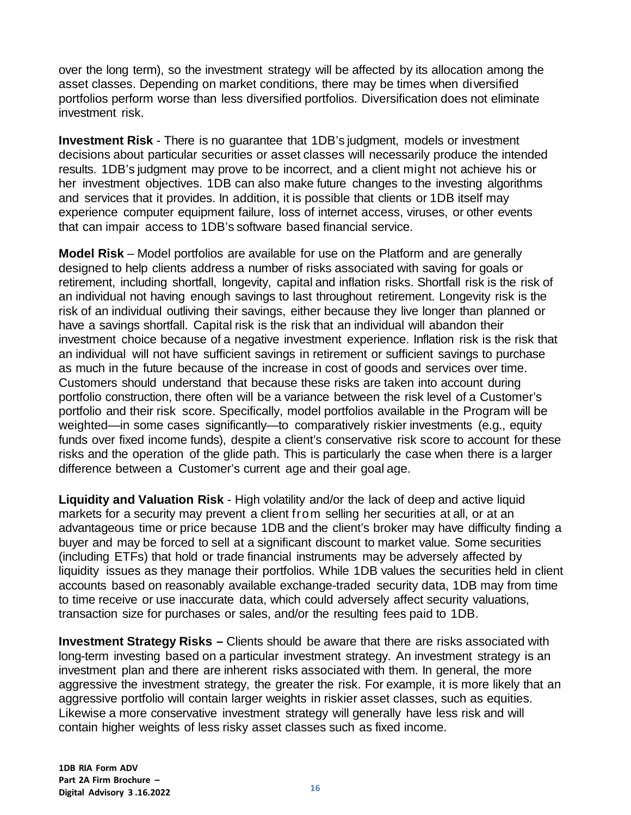over the long term), so the investment strategy will be affected by its allocation among the asset classes. Depending on market conditions, there may be times when diversified portfolios perform worse than less diversified portfolios. Diversification does not eliminate investment risk.

**Investment Risk** - There is no guarantee that 1DB's judgment, models or investment decisions about particular securities or asset classes will necessarily produce the intended results. 1DB's judgment may prove to be incorrect, and a client might not achieve his or her investment objectives. 1DB can also make future changes to the investing algorithms and services that it provides. In addition, it is possible that clients or 1DB itself may experience computer equipment failure, loss of internet access, viruses, or other events that can impair access to 1DB's software based financial service.

**Model Risk** – Model portfolios are available for use on the Platform and are generally designed to help clients address a number of risks associated with saving for goals or retirement, including shortfall, longevity, capital and inflation risks. Shortfall risk is the risk of an individual not having enough savings to last throughout retirement. Longevity risk is the risk of an individual outliving their savings, either because they live longer than planned or have a savings shortfall. Capital risk is the risk that an individual will abandon their investment choice because of a negative investment experience. Inflation risk is the risk that an individual will not have sufficient savings in retirement or sufficient savings to purchase as much in the future because of the increase in cost of goods and services over time. Customers should understand that because these risks are taken into account during portfolio construction, there often will be a variance between the risk level of a Customer's portfolio and their risk score. Specifically, model portfolios available in the Program will be weighted—in some cases significantly—to comparatively riskier investments (e.g., equity funds over fixed income funds), despite a client's conservative risk score to account for these risks and the operation of the glide path. This is particularly the case when there is a larger difference between a Customer's current age and their goal age.

**Liquidity and Valuation Risk** - High volatility and/or the lack of deep and active liquid markets for a security may prevent a client from selling her securities at all, or at an advantageous time or price because 1DB and the client's broker may have difficulty finding a buyer and may be forced to sell at a significant discount to market value. Some securities (including ETFs) that hold or trade financial instruments may be adversely affected by liquidity issues as they manage their portfolios. While 1DB values the securities held in client accounts based on reasonably available exchange-traded security data, 1DB may from time to time receive or use inaccurate data, which could adversely affect security valuations, transaction size for purchases or sales, and/or the resulting fees paid to 1DB.

**Investment Strategy Risks –** Clients should be aware that there are risks associated with long-term investing based on a particular investment strategy. An investment strategy is an investment plan and there are inherent risks associated with them. In general, the more aggressive the investment strategy, the greater the risk. For example, it is more likely that an aggressive portfolio will contain larger weights in riskier asset classes, such as equities. Likewise a more conservative investment strategy will generally have less risk and will contain higher weights of less risky asset classes such as fixed income.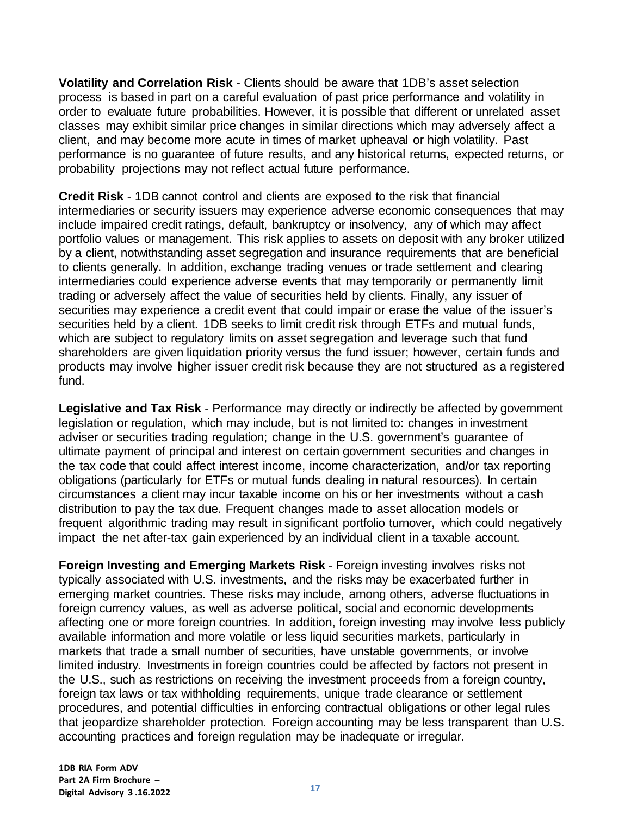**Volatility and Correlation Risk** - Clients should be aware that 1DB's asset selection process is based in part on a careful evaluation of past price performance and volatility in order to evaluate future probabilities. However, it is possible that different or unrelated asset classes may exhibit similar price changes in similar directions which may adversely affect a client, and may become more acute in times of market upheaval or high volatility. Past performance is no guarantee of future results, and any historical returns, expected returns, or probability projections may not reflect actual future performance.

**Credit Risk** - 1DB cannot control and clients are exposed to the risk that financial intermediaries or security issuers may experience adverse economic consequences that may include impaired credit ratings, default, bankruptcy or insolvency, any of which may affect portfolio values or management. This risk applies to assets on deposit with any broker utilized by a client, notwithstanding asset segregation and insurance requirements that are beneficial to clients generally. In addition, exchange trading venues or trade settlement and clearing intermediaries could experience adverse events that may temporarily or permanently limit trading or adversely affect the value of securities held by clients. Finally, any issuer of securities may experience a credit event that could impair or erase the value of the issuer's securities held by a client. 1DB seeks to limit credit risk through ETFs and mutual funds, which are subject to regulatory limits on asset segregation and leverage such that fund shareholders are given liquidation priority versus the fund issuer; however, certain funds and products may involve higher issuer credit risk because they are not structured as a registered fund.

**Legislative and Tax Risk** - Performance may directly or indirectly be affected by government legislation or regulation, which may include, but is not limited to: changes in investment adviser or securities trading regulation; change in the U.S. government's guarantee of ultimate payment of principal and interest on certain government securities and changes in the tax code that could affect interest income, income characterization, and/or tax reporting obligations (particularly for ETFs or mutual funds dealing in natural resources). In certain circumstances a client may incur taxable income on his or her investments without a cash distribution to pay the tax due. Frequent changes made to asset allocation models or frequent algorithmic trading may result in significant portfolio turnover, which could negatively impact the net after-tax gain experienced by an individual client in a taxable account.

**Foreign Investing and Emerging Markets Risk** - Foreign investing involves risks not typically associated with U.S. investments, and the risks may be exacerbated further in emerging market countries. These risks may include, among others, adverse fluctuations in foreign currency values, as well as adverse political, social and economic developments affecting one or more foreign countries. In addition, foreign investing may involve less publicly available information and more volatile or less liquid securities markets, particularly in markets that trade a small number of securities, have unstable governments, or involve limited industry. Investments in foreign countries could be affected by factors not present in the U.S., such as restrictions on receiving the investment proceeds from a foreign country, foreign tax laws or tax withholding requirements, unique trade clearance or settlement procedures, and potential difficulties in enforcing contractual obligations or other legal rules that jeopardize shareholder protection. Foreign accounting may be less transparent than U.S. accounting practices and foreign regulation may be inadequate or irregular.

**1DB RIA Form ADV Part 2A Firm Brochure – Digital Advisory <sup>3</sup> .16.2022 <sup>17</sup>**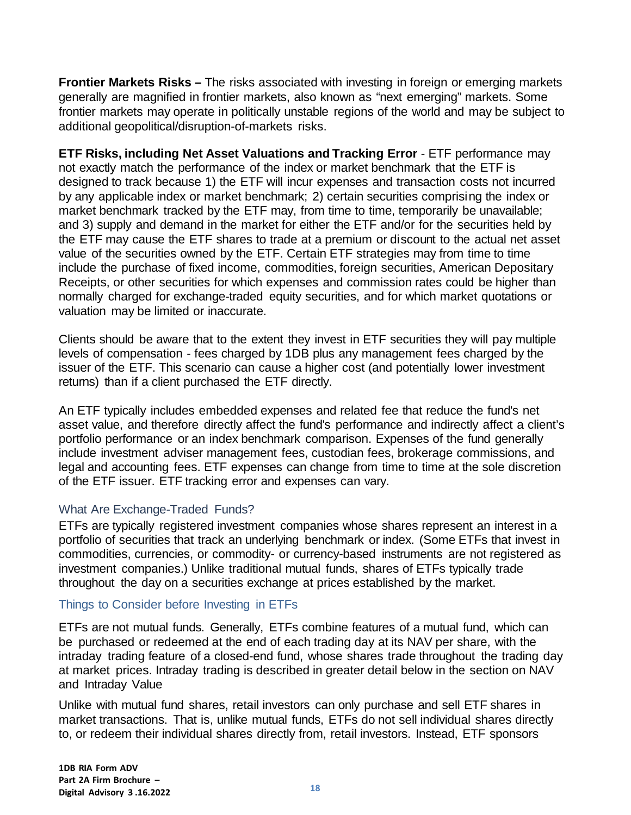**Frontier Markets Risks –** The risks associated with investing in foreign or emerging markets generally are magnified in frontier markets, also known as "next emerging" markets. Some frontier markets may operate in politically unstable regions of the world and may be subject to additional geopolitical/disruption-of-markets risks.

**ETF Risks, including Net Asset Valuations and Tracking Error** - ETF performance may not exactly match the performance of the index or market benchmark that the ETF is designed to track because 1) the ETF will incur expenses and transaction costs not incurred by any applicable index or market benchmark; 2) certain securities comprising the index or market benchmark tracked by the ETF may, from time to time, temporarily be unavailable; and 3) supply and demand in the market for either the ETF and/or for the securities held by the ETF may cause the ETF shares to trade at a premium or discount to the actual net asset value of the securities owned by the ETF. Certain ETF strategies may from time to time include the purchase of fixed income, commodities, foreign securities, American Depositary Receipts, or other securities for which expenses and commission rates could be higher than normally charged for exchange-traded equity securities, and for which market quotations or valuation may be limited or inaccurate.

Clients should be aware that to the extent they invest in ETF securities they will pay multiple levels of compensation - fees charged by 1DB plus any management fees charged by the issuer of the ETF. This scenario can cause a higher cost (and potentially lower investment returns) than if a client purchased the ETF directly.

An ETF typically includes embedded expenses and related fee that reduce the fund's net asset value, and therefore directly affect the fund's performance and indirectly affect a client's portfolio performance or an index benchmark comparison. Expenses of the fund generally include investment adviser management fees, custodian fees, brokerage commissions, and legal and accounting fees. ETF expenses can change from time to time at the sole discretion of the ETF issuer. ETF tracking error and expenses can vary.

#### What Are Exchange-Traded Funds?

ETFs are typically registered investment companies whose shares represent an interest in a portfolio of securities that track an underlying benchmark or index. (Some ETFs that invest in commodities, currencies, or commodity- or currency-based instruments are not registered as investment companies.) Unlike traditional mutual funds, shares of ETFs typically trade throughout the day on a securities exchange at prices established by the market.

#### Things to Consider before Investing in ETFs

ETFs are not mutual funds. Generally, ETFs combine features of a mutual fund, which can be purchased or redeemed at the end of each trading day at its NAV per share, with the intraday trading feature of a closed-end fund, whose shares trade throughout the trading day at market prices. Intraday trading is described in greater detail below in the section on NAV and Intraday Value

Unlike with mutual fund shares, retail investors can only purchase and sell ETF shares in market transactions. That is, unlike mutual funds, ETFs do not sell individual shares directly to, or redeem their individual shares directly from, retail investors. Instead, ETF sponsors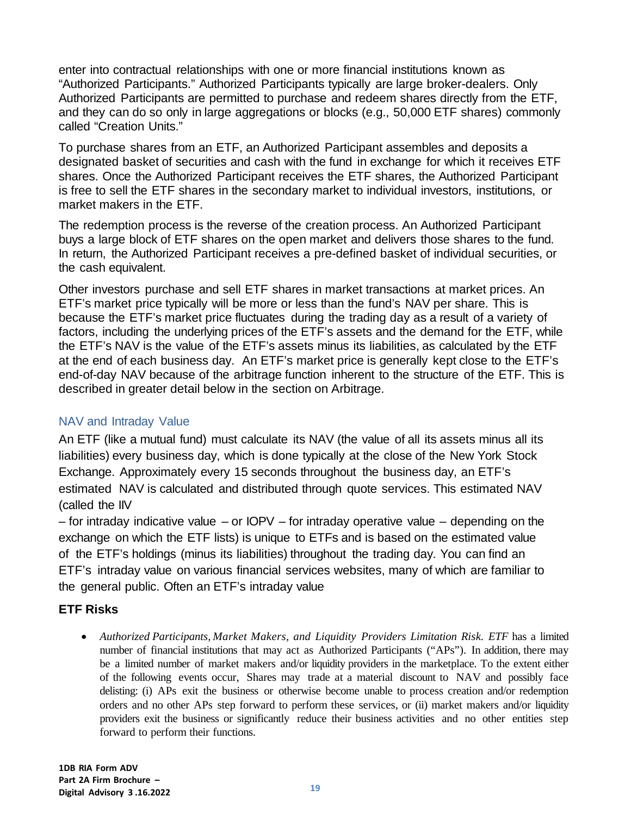enter into contractual relationships with one or more financial institutions known as "Authorized Participants." Authorized Participants typically are large broker-dealers. Only Authorized Participants are permitted to purchase and redeem shares directly from the ETF, and they can do so only in large aggregations or blocks (e.g., 50,000 ETF shares) commonly called "Creation Units."

To purchase shares from an ETF, an Authorized Participant assembles and deposits a designated basket of securities and cash with the fund in exchange for which it receives ETF shares. Once the Authorized Participant receives the ETF shares, the Authorized Participant is free to sell the ETF shares in the secondary market to individual investors, institutions, or market makers in the ETF.

The redemption process is the reverse of the creation process. An Authorized Participant buys a large block of ETF shares on the open market and delivers those shares to the fund. In return, the Authorized Participant receives a pre-defined basket of individual securities, or the cash equivalent.

Other investors purchase and sell ETF shares in market transactions at market prices. An ETF's market price typically will be more or less than the fund's NAV per share. This is because the ETF's market price fluctuates during the trading day as a result of a variety of factors, including the underlying prices of the ETF's assets and the demand for the ETF, while the ETF's NAV is the value of the ETF's assets minus its liabilities, as calculated by the ETF at the end of each business day. An ETF's market price is generally kept close to the ETF's end-of-day NAV because of the arbitrage function inherent to the structure of the ETF. This is described in greater detail below in the section on Arbitrage.

#### NAV and Intraday Value

An ETF (like a mutual fund) must calculate its NAV (the value of all its assets minus all its liabilities) every business day, which is done typically at the close of the New York Stock Exchange. Approximately every 15 seconds throughout the business day, an ETF's estimated NAV is calculated and distributed through quote services. This estimated NAV (called the IIV

– for intraday indicative value – or IOPV – for intraday operative value – depending on the exchange on which the ETF lists) is unique to ETFs and is based on the estimated value of the ETF's holdings (minus its liabilities) throughout the trading day. You can find an ETF's intraday value on various financial services websites, many of which are familiar to the general public. Often an ETF's intraday value

#### **ETF Risks**

• *Authorized Participants, Market Makers, and Liquidity Providers Limitation Risk. ETF* has a limited number of financial institutions that may act as Authorized Participants ("APs"). In addition, there may be a limited number of market makers and/or liquidity providers in the marketplace. To the extent either of the following events occur, Shares may trade at a material discount to NAV and possibly face delisting: (i) APs exit the business or otherwise become unable to process creation and/or redemption orders and no other APs step forward to perform these services, or (ii) market makers and/or liquidity providers exit the business or significantly reduce their business activities and no other entities step forward to perform their functions.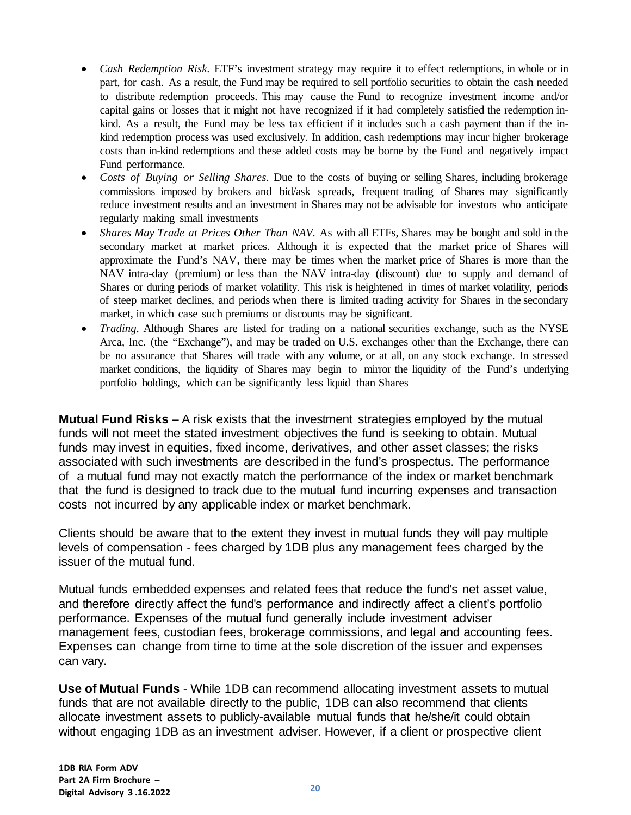- *Cash Redemption Risk.* ETF's investment strategy may require it to effect redemptions, in whole or in part, for cash. As a result, the Fund may be required to sell portfolio securities to obtain the cash needed to distribute redemption proceeds. This may cause the Fund to recognize investment income and/or capital gains or losses that it might not have recognized if it had completely satisfied the redemption inkind. As a result, the Fund may be less tax efficient if it includes such a cash payment than if the inkind redemption process was used exclusively. In addition, cash redemptions may incur higher brokerage costs than in-kind redemptions and these added costs may be borne by the Fund and negatively impact Fund performance.
- *Costs of Buying or Selling Shares.* Due to the costs of buying or selling Shares, including brokerage commissions imposed by brokers and bid/ask spreads, frequent trading of Shares may significantly reduce investment results and an investment in Shares may not be advisable for investors who anticipate regularly making small investments
- *Shares May Trade at Prices Other Than NAV.* As with all ETFs, Shares may be bought and sold in the secondary market at market prices. Although it is expected that the market price of Shares will approximate the Fund's NAV, there may be times when the market price of Shares is more than the NAV intra-day (premium) or less than the NAV intra-day (discount) due to supply and demand of Shares or during periods of market volatility. This risk is heightened in times of market volatility, periods of steep market declines, and periods when there is limited trading activity for Shares in the secondary market, in which case such premiums or discounts may be significant.
- *Trading.* Although Shares are listed for trading on a national securities exchange, such as the NYSE Arca, Inc. (the "Exchange"), and may be traded on U.S. exchanges other than the Exchange, there can be no assurance that Shares will trade with any volume, or at all, on any stock exchange. In stressed market conditions, the liquidity of Shares may begin to mirror the liquidity of the Fund's underlying portfolio holdings, which can be significantly less liquid than Shares

**Mutual Fund Risks** – A risk exists that the investment strategies employed by the mutual funds will not meet the stated investment objectives the fund is seeking to obtain. Mutual funds may invest in equities, fixed income, derivatives, and other asset classes; the risks associated with such investments are described in the fund's prospectus. The performance of a mutual fund may not exactly match the performance of the index or market benchmark that the fund is designed to track due to the mutual fund incurring expenses and transaction costs not incurred by any applicable index or market benchmark.

Clients should be aware that to the extent they invest in mutual funds they will pay multiple levels of compensation - fees charged by 1DB plus any management fees charged by the issuer of the mutual fund.

Mutual funds embedded expenses and related fees that reduce the fund's net asset value, and therefore directly affect the fund's performance and indirectly affect a client's portfolio performance. Expenses of the mutual fund generally include investment adviser management fees, custodian fees, brokerage commissions, and legal and accounting fees. Expenses can change from time to time at the sole discretion of the issuer and expenses can vary.

**Use of Mutual Funds** - While 1DB can recommend allocating investment assets to mutual funds that are not available directly to the public, 1DB can also recommend that clients allocate investment assets to publicly-available mutual funds that he/she/it could obtain without engaging 1DB as an investment adviser. However, if a client or prospective client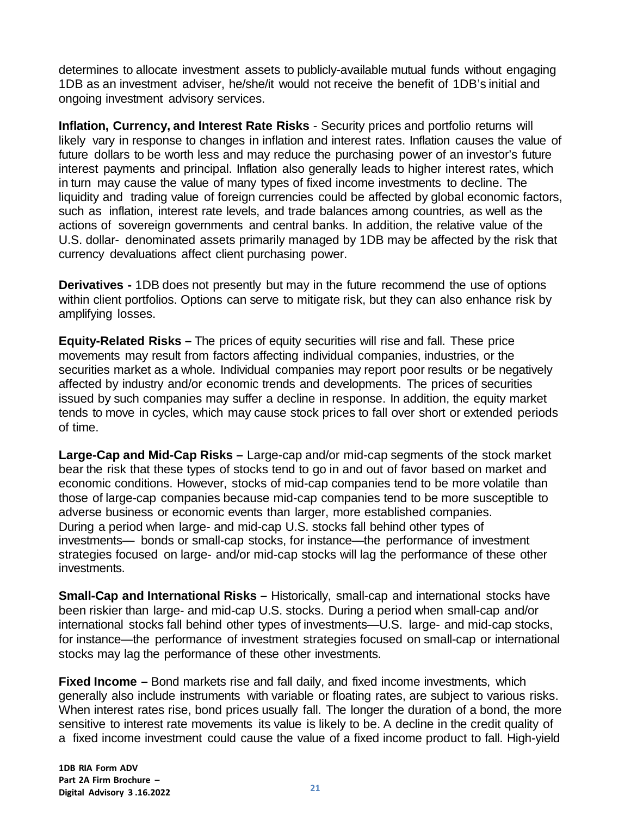determines to allocate investment assets to publicly-available mutual funds without engaging 1DB as an investment adviser, he/she/it would not receive the benefit of 1DB's initial and ongoing investment advisory services.

**Inflation, Currency, and Interest Rate Risks** - Security prices and portfolio returns will likely vary in response to changes in inflation and interest rates. Inflation causes the value of future dollars to be worth less and may reduce the purchasing power of an investor's future interest payments and principal. Inflation also generally leads to higher interest rates, which in turn may cause the value of many types of fixed income investments to decline. The liquidity and trading value of foreign currencies could be affected by global economic factors, such as inflation, interest rate levels, and trade balances among countries, as well as the actions of sovereign governments and central banks. In addition, the relative value of the U.S. dollar- denominated assets primarily managed by 1DB may be affected by the risk that currency devaluations affect client purchasing power.

**Derivatives -** 1DB does not presently but may in the future recommend the use of options within client portfolios. Options can serve to mitigate risk, but they can also enhance risk by amplifying losses.

**Equity-Related Risks –** The prices of equity securities will rise and fall. These price movements may result from factors affecting individual companies, industries, or the securities market as a whole. Individual companies may report poor results or be negatively affected by industry and/or economic trends and developments. The prices of securities issued by such companies may suffer a decline in response. In addition, the equity market tends to move in cycles, which may cause stock prices to fall over short or extended periods of time.

**Large-Cap and Mid-Cap Risks –** Large-cap and/or mid-cap segments of the stock market bear the risk that these types of stocks tend to go in and out of favor based on market and economic conditions. However, stocks of mid-cap companies tend to be more volatile than those of large-cap companies because mid-cap companies tend to be more susceptible to adverse business or economic events than larger, more established companies. During a period when large- and mid-cap U.S. stocks fall behind other types of investments— bonds or small-cap stocks, for instance—the performance of investment strategies focused on large- and/or mid-cap stocks will lag the performance of these other investments.

**Small-Cap and International Risks –** Historically, small-cap and international stocks have been riskier than large- and mid-cap U.S. stocks. During a period when small-cap and/or international stocks fall behind other types of investments—U.S. large- and mid-cap stocks, for instance—the performance of investment strategies focused on small-cap or international stocks may lag the performance of these other investments.

**Fixed Income –** Bond markets rise and fall daily, and fixed income investments, which generally also include instruments with variable or floating rates, are subject to various risks. When interest rates rise, bond prices usually fall. The longer the duration of a bond, the more sensitive to interest rate movements its value is likely to be. A decline in the credit quality of a fixed income investment could cause the value of a fixed income product to fall. High-yield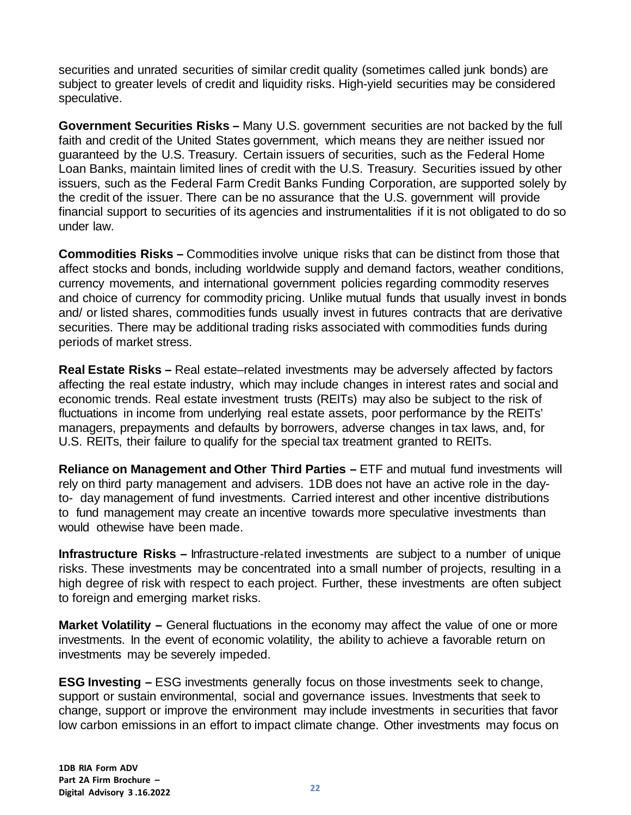securities and unrated securities of similar credit quality (sometimes called junk bonds) are subject to greater levels of credit and liquidity risks. High-yield securities may be considered speculative.

**Government Securities Risks –** Many U.S. government securities are not backed by the full faith and credit of the United States government, which means they are neither issued nor guaranteed by the U.S. Treasury. Certain issuers of securities, such as the Federal Home Loan Banks, maintain limited lines of credit with the U.S. Treasury. Securities issued by other issuers, such as the Federal Farm Credit Banks Funding Corporation, are supported solely by the credit of the issuer. There can be no assurance that the U.S. government will provide financial support to securities of its agencies and instrumentalities if it is not obligated to do so under law.

**Commodities Risks –** Commodities involve unique risks that can be distinct from those that affect stocks and bonds, including worldwide supply and demand factors, weather conditions, currency movements, and international government policies regarding commodity reserves and choice of currency for commodity pricing. Unlike mutual funds that usually invest in bonds and/ or listed shares, commodities funds usually invest in futures contracts that are derivative securities. There may be additional trading risks associated with commodities funds during periods of market stress.

**Real Estate Risks –** Real estate–related investments may be adversely affected by factors affecting the real estate industry, which may include changes in interest rates and social and economic trends. Real estate investment trusts (REITs) may also be subject to the risk of fluctuations in income from underlying real estate assets, poor performance by the REITs' managers, prepayments and defaults by borrowers, adverse changes in tax laws, and, for U.S. REITs, their failure to qualify for the special tax treatment granted to REITs.

**Reliance on Management and Other Third Parties –** ETF and mutual fund investments will rely on third party management and advisers. 1DB does not have an active role in the dayto- day management of fund investments. Carried interest and other incentive distributions to fund management may create an incentive towards more speculative investments than would othewise have been made.

**Infrastructure Risks –** Infrastructure-related investments are subject to a number of unique risks. These investments may be concentrated into a small number of projects, resulting in a high degree of risk with respect to each project. Further, these investments are often subject to foreign and emerging market risks.

**Market Volatility –** General fluctuations in the economy may affect the value of one or more investments. In the event of economic volatility, the ability to achieve a favorable return on investments may be severely impeded.

**ESG Investing –** ESG investments generally focus on those investments seek to change, support or sustain environmental, social and governance issues. Investments that seek to change, support or improve the environment may include investments in securities that favor low carbon emissions in an effort to impact climate change. Other investments may focus on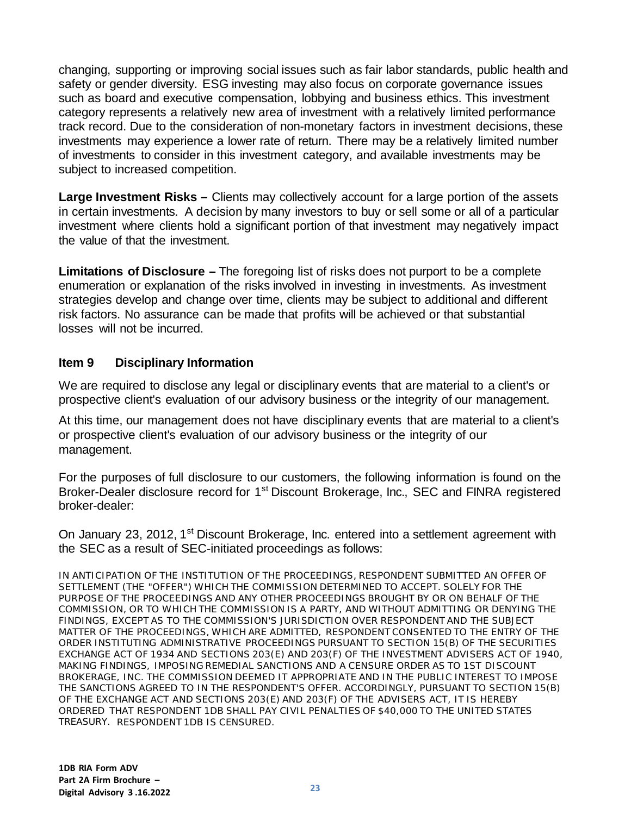changing, supporting or improving social issues such as fair labor standards, public health and safety or gender diversity. ESG investing may also focus on corporate governance issues such as board and executive compensation, lobbying and business ethics. This investment category represents a relatively new area of investment with a relatively limited performance track record. Due to the consideration of non-monetary factors in investment decisions, these investments may experience a lower rate of return. There may be a relatively limited number of investments to consider in this investment category, and available investments may be subject to increased competition.

**Large Investment Risks –** Clients may collectively account for a large portion of the assets in certain investments. A decision by many investors to buy or sell some or all of a particular investment where clients hold a significant portion of that investment may negatively impact the value of that the investment.

**Limitations of Disclosure –** The foregoing list of risks does not purport to be a complete enumeration or explanation of the risks involved in investing in investments. As investment strategies develop and change over time, clients may be subject to additional and different risk factors. No assurance can be made that profits will be achieved or that substantial losses will not be incurred.

#### <span id="page-22-0"></span>**Item 9 Disciplinary Information**

We are required to disclose any legal or disciplinary events that are material to a client's or prospective client's evaluation of our advisory business or the integrity of our management.

At this time, our management does not have disciplinary events that are material to a client's or prospective client's evaluation of our advisory business or the integrity of our management.

For the purposes of full disclosure to our customers, the following information is found on the Broker-Dealer disclosure record for 1<sup>st</sup> Discount Brokerage, Inc., SEC and FINRA registered broker-dealer:

On January 23, 2012, 1<sup>st</sup> Discount Brokerage, Inc. entered into a settlement agreement with the SEC as a result of SEC-initiated proceedings as follows:

IN ANTICIPATION OF THE INSTITUTION OF THE PROCEEDINGS, RESPONDENT SUBMITTED AN OFFER OF SETTLEMENT (THE "OFFER") WHICH THE COMMISSION DETERMINED TO ACCEPT. SOLELY FOR THE PURPOSE OF THE PROCEEDINGS AND ANY OTHER PROCEEDINGS BROUGHT BY OR ON BEHALF OF THE COMMISSION, OR TO WHICH THE COMMISSION IS A PARTY, AND WITHOUT ADMITTING OR DENYING THE FINDINGS, EXCEPT AS TO THE COMMISSION'S JURISDICTION OVER RESPONDENT AND THE SUBJECT MATTER OF THE PROCEEDINGS, WHICH ARE ADMITTED, RESPONDENT CONSENTED TO THE ENTRY OF THE ORDER INSTITUTING ADMINISTRATIVE PROCEEDINGS PURSUANT TO SECTION 15(B) OF THE SECURITIES EXCHANGE ACT OF 1934 AND SECTIONS 203(E) AND 203(F) OF THE INVESTMENT ADVISERS ACT OF 1940, MAKING FINDINGS, IMPOSING REMEDIAL SANCTIONS AND A CENSURE ORDER AS TO 1ST DISCOUNT BROKERAGE, INC. THE COMMISSION DEEMED IT APPROPRIATE AND IN THE PUBLIC INTEREST TO IMPOSE THE SANCTIONS AGREED TO IN THE RESPONDENT'S OFFER. ACCORDINGLY, PURSUANT TO SECTION 15(B) OF THE EXCHANGE ACT AND SECTIONS 203(E) AND 203(F) OF THE ADVISERS ACT, IT IS HEREBY ORDERED THAT RESPONDENT 1DB SHALL PAY CIVIL PENALTIES OF \$40,000 TO THE UNITED STATES TREASURY. RESPONDENT 1DB IS CENSURED.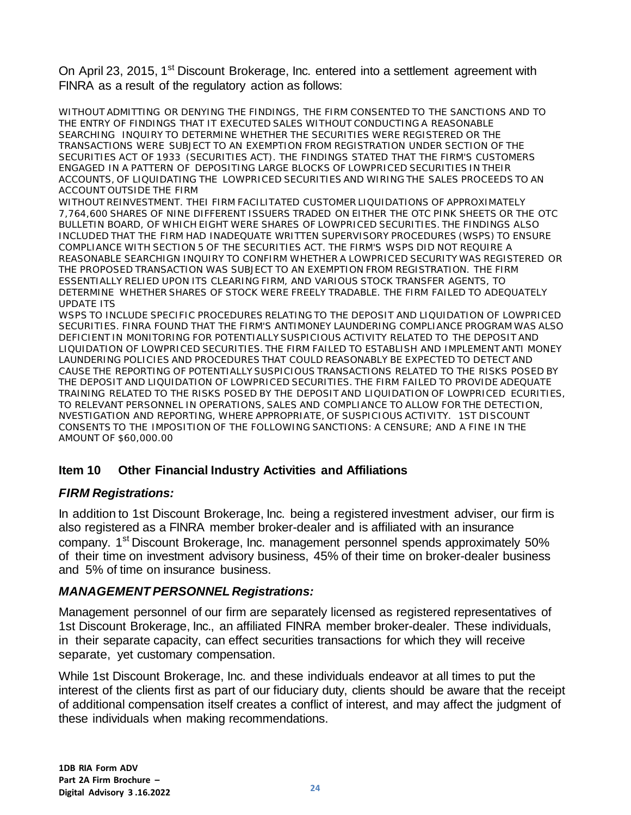On April 23, 2015, 1<sup>st</sup> Discount Brokerage, Inc. entered into a settlement agreement with FINRA as a result of the regulatory action as follows:

WITHOUT ADMITTING OR DENYING THE FINDINGS, THE FIRM CONSENTED TO THE SANCTIONS AND TO THE ENTRY OF FINDINGS THAT IT EXECUTED SALES WITHOUT CONDUCTING A REASONABLE SEARCHING INQUIRY TO DETERMINE WHETHER THE SECURITIES WERE REGISTERED OR THE TRANSACTIONS WERE SUBJECT TO AN EXEMPTION FROM REGISTRATION UNDER SECTION OF THE SECURITIES ACT OF 1933 (SECURITIES ACT). THE FINDINGS STATED THAT THE FIRM'S CUSTOMERS ENGAGED IN A PATTERN OF DEPOSITING LARGE BLOCKS OF LOWPRICED SECURITIES IN THEIR ACCOUNTS, OF LIQUIDATING THE LOWPRICED SECURITIES AND WIRING THE SALES PROCEEDS TO AN ACCOUNT OUTSIDE THE FIRM

WITHOUT REINVESTMENT. THEI FIRM FACILITATED CUSTOMER LIQUIDATIONS OF APPROXIMATELY 7,764,600 SHARES OF NINE DIFFERENT ISSUERS TRADED ON EITHER THE OTC PINK SHEETS OR THE OTC BULLETIN BOARD, OF WHICH EIGHT WERE SHARES OF LOWPRICED SECURITIES. THE FINDINGS ALSO INCLUDED THAT THE FIRM HAD INADEQUATE WRITTEN SUPERVISORY PROCEDURES (WSPS) TO ENSURE COMPLIANCE WITH SECTION 5 OF THE SECURITIES ACT. THE FIRM'S WSPS DID NOT REQUIRE A REASONABLE SEARCHIGN INQUIRY TO CONFIRM WHETHER A LOWPRICED SECURITY WAS REGISTERED OR THE PROPOSED TRANSACTION WAS SUBJECT TO AN EXEMPTION FROM REGISTRATION. THE FIRM ESSENTIALLY RELIED UPON ITS CLEARING FIRM, AND VARIOUS STOCK TRANSFER AGENTS, TO DETERMINE WHETHER SHARES OF STOCK WERE FREELY TRADABLE. THE FIRM FAILED TO ADEQUATELY UPDATE ITS

WSPS TO INCLUDE SPECIFIC PROCEDURES RELATING TO THE DEPOSIT AND LIQUIDATION OF LOWPRICED SECURITIES. FINRA FOUND THAT THE FIRM'S ANTIMONEY LAUNDERING COMPLIANCE PROGRAM WAS ALSO DEFICIENT IN MONITORING FOR POTENTIALLY SUSPICIOUS ACTIVITY RELATED TO THE DEPOSIT AND LIQUIDATION OF LOWPRICED SECURITIES. THE FIRM FAILED TO ESTABLISH AND IMPLEMENT ANTI MONEY LAUNDERING POLICIES AND PROCEDURES THAT COULD REASONABLY BE EXPECTED TO DETECT AND CAUSE THE REPORTING OF POTENTIALLY SUSPICIOUS TRANSACTIONS RELATED TO THE RISKS POSED BY THE DEPOSIT AND LIQUIDATION OF LOWPRICED SECURITIES. THE FIRM FAILED TO PROVIDE ADEQUATE TRAINING RELATED TO THE RISKS POSED BY THE DEPOSIT AND LIQUIDATION OF LOWPRICED ECURITIES, TO RELEVANT PERSONNEL IN OPERATIONS, SALES AND COMPLIANCE TO ALLOW FOR THE DETECTION, NVESTIGATION AND REPORTING, WHERE APPROPRIATE, OF SUSPICIOUS ACTIVITY. 1ST DISCOUNT CONSENTS TO THE IMPOSITION OF THE FOLLOWING SANCTIONS: A CENSURE; AND A FINE IN THE AMOUNT OF \$60,000.00

# <span id="page-23-0"></span>**Item 10 Other Financial Industry Activities and Affiliations**

# *FIRM Registrations:*

In addition to 1st Discount Brokerage, Inc. being a registered investment adviser, our firm is also registered as a FINRA member broker-dealer and is affiliated with an insurance company. 1<sup>st</sup> Discount Brokerage, Inc. management personnel spends approximately 50% of their time on investment advisory business, 45% of their time on broker-dealer business and 5% of time on insurance business.

# *MANAGEMENT PERSONNEL Registrations:*

Management personnel of our firm are separately licensed as registered representatives of 1st Discount Brokerage, Inc., an affiliated FINRA member broker-dealer. These individuals, in their separate capacity, can effect securities transactions for which they will receive separate, yet customary compensation.

While 1st Discount Brokerage, Inc. and these individuals endeavor at all times to put the interest of the clients first as part of our fiduciary duty, clients should be aware that the receipt of additional compensation itself creates a conflict of interest, and may affect the judgment of these individuals when making recommendations.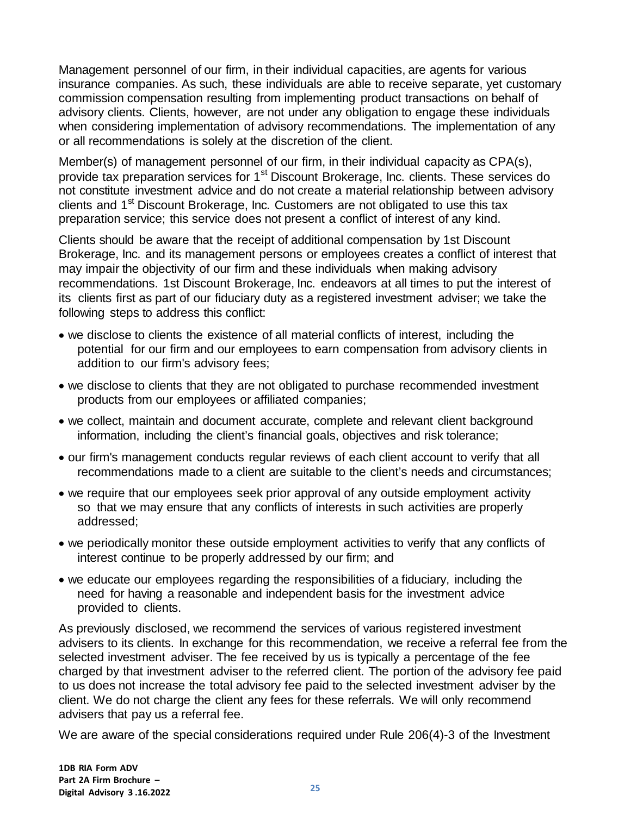Management personnel of our firm, in their individual capacities, are agents for various insurance companies. As such, these individuals are able to receive separate, yet customary commission compensation resulting from implementing product transactions on behalf of advisory clients. Clients, however, are not under any obligation to engage these individuals when considering implementation of advisory recommendations. The implementation of any or all recommendations is solely at the discretion of the client.

Member(s) of management personnel of our firm, in their individual capacity as CPA(s), provide tax preparation services for 1<sup>st</sup> Discount Brokerage, Inc. clients. These services do not constitute investment advice and do not create a material relationship between advisory clients and 1<sup>st</sup> Discount Brokerage, Inc. Customers are not obligated to use this tax preparation service; this service does not present a conflict of interest of any kind.

Clients should be aware that the receipt of additional compensation by 1st Discount Brokerage, Inc. and its management persons or employees creates a conflict of interest that may impair the objectivity of our firm and these individuals when making advisory recommendations. 1st Discount Brokerage, Inc. endeavors at all times to put the interest of its clients first as part of our fiduciary duty as a registered investment adviser; we take the following steps to address this conflict:

- we disclose to clients the existence of all material conflicts of interest, including the potential for our firm and our employees to earn compensation from advisory clients in addition to our firm's advisory fees;
- we disclose to clients that they are not obligated to purchase recommended investment products from our employees or affiliated companies;
- we collect, maintain and document accurate, complete and relevant client background information, including the client's financial goals, objectives and risk tolerance;
- our firm's management conducts regular reviews of each client account to verify that all recommendations made to a client are suitable to the client's needs and circumstances;
- we require that our employees seek prior approval of any outside employment activity so that we may ensure that any conflicts of interests in such activities are properly addressed;
- we periodically monitor these outside employment activities to verify that any conflicts of interest continue to be properly addressed by our firm; and
- we educate our employees regarding the responsibilities of a fiduciary, including the need for having a reasonable and independent basis for the investment advice provided to clients.

As previously disclosed, we recommend the services of various registered investment advisers to its clients. In exchange for this recommendation, we receive a referral fee from the selected investment adviser. The fee received by us is typically a percentage of the fee charged by that investment adviser to the referred client. The portion of the advisory fee paid to us does not increase the total advisory fee paid to the selected investment adviser by the client. We do not charge the client any fees for these referrals. We will only recommend advisers that pay us a referral fee.

We are aware of the special considerations required under Rule 206(4)-3 of the Investment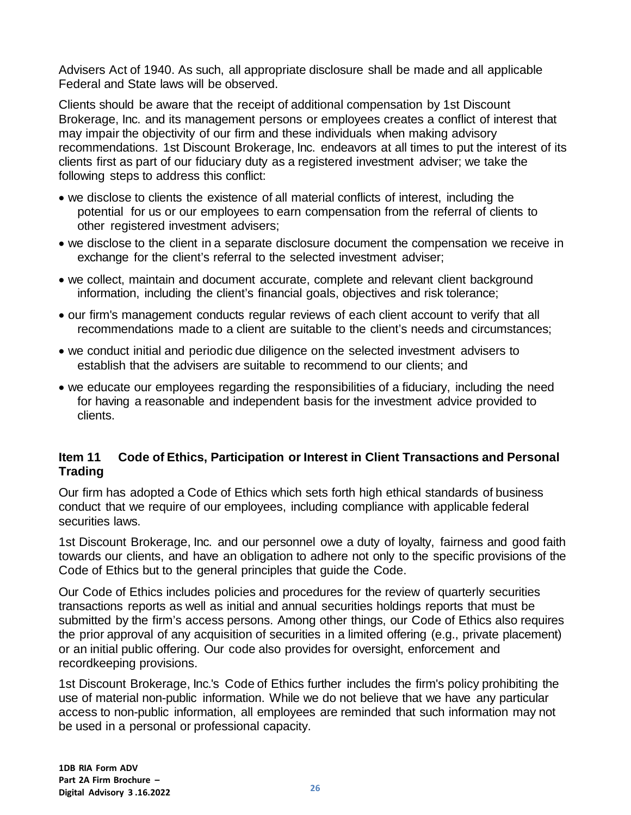Advisers Act of 1940. As such, all appropriate disclosure shall be made and all applicable Federal and State laws will be observed.

Clients should be aware that the receipt of additional compensation by 1st Discount Brokerage, Inc. and its management persons or employees creates a conflict of interest that may impair the objectivity of our firm and these individuals when making advisory recommendations. 1st Discount Brokerage, Inc. endeavors at all times to put the interest of its clients first as part of our fiduciary duty as a registered investment adviser; we take the following steps to address this conflict:

- we disclose to clients the existence of all material conflicts of interest, including the potential for us or our employees to earn compensation from the referral of clients to other registered investment advisers;
- we disclose to the client in a separate disclosure document the compensation we receive in exchange for the client's referral to the selected investment adviser;
- we collect, maintain and document accurate, complete and relevant client background information, including the client's financial goals, objectives and risk tolerance;
- our firm's management conducts regular reviews of each client account to verify that all recommendations made to a client are suitable to the client's needs and circumstances;
- we conduct initial and periodic due diligence on the selected investment advisers to establish that the advisers are suitable to recommend to our clients; and
- we educate our employees regarding the responsibilities of a fiduciary, including the need for having a reasonable and independent basis for the investment advice provided to clients.

## <span id="page-25-0"></span>**Item 11 Code of Ethics, Participation or Interest in Client Transactions and Personal Trading**

Our firm has adopted a Code of Ethics which sets forth high ethical standards of business conduct that we require of our employees, including compliance with applicable federal securities laws.

1st Discount Brokerage, Inc. and our personnel owe a duty of loyalty, fairness and good faith towards our clients, and have an obligation to adhere not only to the specific provisions of the Code of Ethics but to the general principles that guide the Code.

Our Code of Ethics includes policies and procedures for the review of quarterly securities transactions reports as well as initial and annual securities holdings reports that must be submitted by the firm's access persons. Among other things, our Code of Ethics also requires the prior approval of any acquisition of securities in a limited offering (e.g., private placement) or an initial public offering. Our code also provides for oversight, enforcement and recordkeeping provisions.

1st Discount Brokerage, Inc.'s Code of Ethics further includes the firm's policy prohibiting the use of material non-public information. While we do not believe that we have any particular access to non-public information, all employees are reminded that such information may not be used in a personal or professional capacity.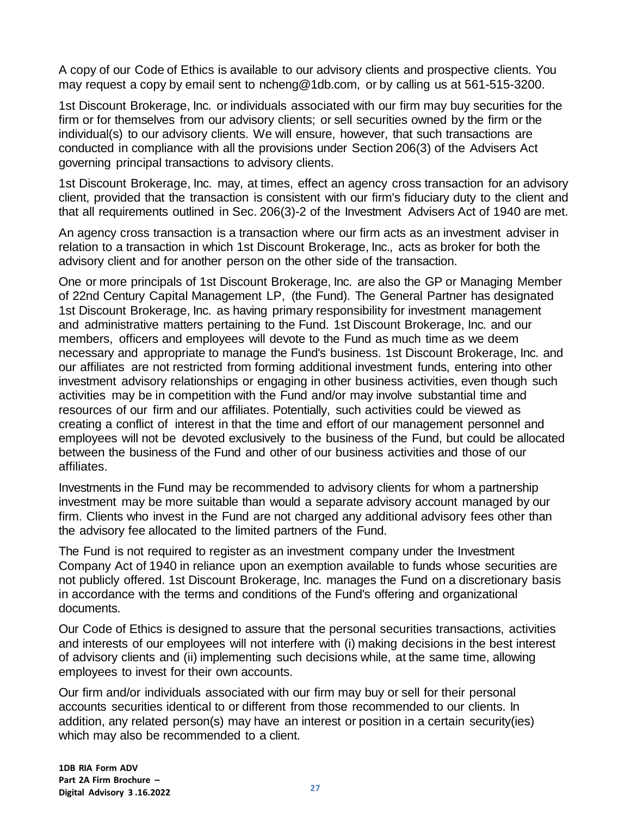A copy of our Code of Ethics is available to our advisory clients and prospective clients. You may request a copy by email sent to [ncheng@1db.com,](mailto:ncheng@1db.com) or by calling us at 561-515-3200.

1st Discount Brokerage, Inc. or individuals associated with our firm may buy securities for the firm or for themselves from our advisory clients; or sell securities owned by the firm or the individual(s) to our advisory clients. We will ensure, however, that such transactions are conducted in compliance with all the provisions under Section 206(3) of the Advisers Act governing principal transactions to advisory clients.

1st Discount Brokerage, Inc. may, at times, effect an agency cross transaction for an advisory client, provided that the transaction is consistent with our firm's fiduciary duty to the client and that all requirements outlined in Sec. 206(3)-2 of the Investment Advisers Act of 1940 are met.

An agency cross transaction is a transaction where our firm acts as an investment adviser in relation to a transaction in which 1st Discount Brokerage, Inc., acts as broker for both the advisory client and for another person on the other side of the transaction.

One or more principals of 1st Discount Brokerage, Inc. are also the GP or Managing Member of 22nd Century Capital Management LP, (the Fund). The General Partner has designated 1st Discount Brokerage, Inc. as having primary responsibility for investment management and administrative matters pertaining to the Fund. 1st Discount Brokerage, Inc. and our members, officers and employees will devote to the Fund as much time as we deem necessary and appropriate to manage the Fund's business. 1st Discount Brokerage, Inc. and our affiliates are not restricted from forming additional investment funds, entering into other investment advisory relationships or engaging in other business activities, even though such activities may be in competition with the Fund and/or may involve substantial time and resources of our firm and our affiliates. Potentially, such activities could be viewed as creating a conflict of interest in that the time and effort of our management personnel and employees will not be devoted exclusively to the business of the Fund, but could be allocated between the business of the Fund and other of our business activities and those of our affiliates.

Investments in the Fund may be recommended to advisory clients for whom a partnership investment may be more suitable than would a separate advisory account managed by our firm. Clients who invest in the Fund are not charged any additional advisory fees other than the advisory fee allocated to the limited partners of the Fund.

The Fund is not required to register as an investment company under the Investment Company Act of 1940 in reliance upon an exemption available to funds whose securities are not publicly offered. 1st Discount Brokerage, Inc. manages the Fund on a discretionary basis in accordance with the terms and conditions of the Fund's offering and organizational documents.

Our Code of Ethics is designed to assure that the personal securities transactions, activities and interests of our employees will not interfere with (i) making decisions in the best interest of advisory clients and (ii) implementing such decisions while, at the same time, allowing employees to invest for their own accounts.

Our firm and/or individuals associated with our firm may buy or sell for their personal accounts securities identical to or different from those recommended to our clients. In addition, any related person(s) may have an interest or position in a certain security(ies) which may also be recommended to a client.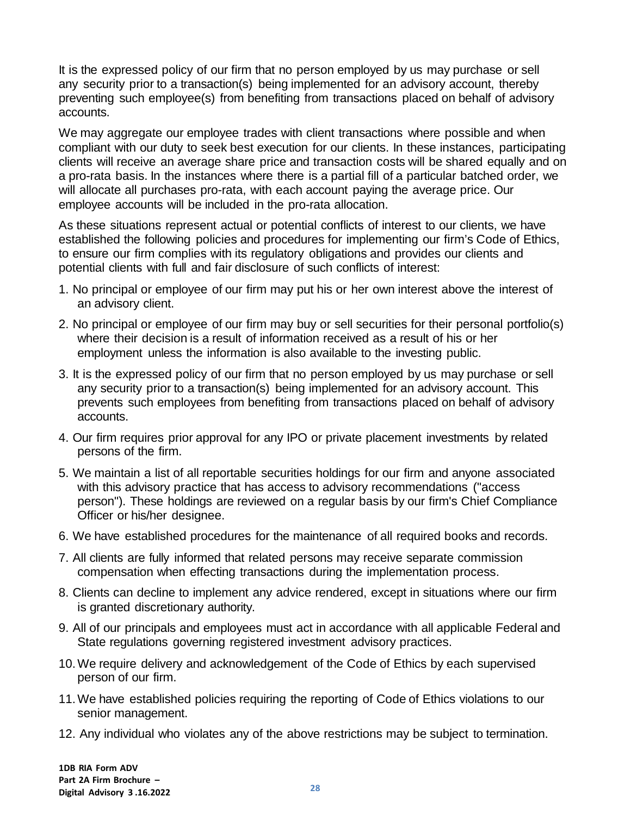It is the expressed policy of our firm that no person employed by us may purchase or sell any security prior to a transaction(s) being implemented for an advisory account, thereby preventing such employee(s) from benefiting from transactions placed on behalf of advisory accounts.

We may aggregate our employee trades with client transactions where possible and when compliant with our duty to seek best execution for our clients. In these instances, participating clients will receive an average share price and transaction costs will be shared equally and on a pro-rata basis. In the instances where there is a partial fill of a particular batched order, we will allocate all purchases pro-rata, with each account paying the average price. Our employee accounts will be included in the pro-rata allocation.

As these situations represent actual or potential conflicts of interest to our clients, we have established the following policies and procedures for implementing our firm's Code of Ethics, to ensure our firm complies with its regulatory obligations and provides our clients and potential clients with full and fair disclosure of such conflicts of interest:

- 1. No principal or employee of our firm may put his or her own interest above the interest of an advisory client.
- 2. No principal or employee of our firm may buy or sell securities for their personal portfolio(s) where their decision is a result of information received as a result of his or her employment unless the information is also available to the investing public.
- 3. It is the expressed policy of our firm that no person employed by us may purchase or sell any security prior to a transaction(s) being implemented for an advisory account. This prevents such employees from benefiting from transactions placed on behalf of advisory accounts.
- 4. Our firm requires prior approval for any IPO or private placement investments by related persons of the firm.
- 5. We maintain a list of all reportable securities holdings for our firm and anyone associated with this advisory practice that has access to advisory recommendations ("access person"). These holdings are reviewed on a regular basis by our firm's Chief Compliance Officer or his/her designee.
- 6. We have established procedures for the maintenance of all required books and records.
- 7. All clients are fully informed that related persons may receive separate commission compensation when effecting transactions during the implementation process.
- 8. Clients can decline to implement any advice rendered, except in situations where our firm is granted discretionary authority.
- 9. All of our principals and employees must act in accordance with all applicable Federal and State regulations governing registered investment advisory practices.
- 10.We require delivery and acknowledgement of the Code of Ethics by each supervised person of our firm.
- 11.We have established policies requiring the reporting of Code of Ethics violations to our senior management.
- 12. Any individual who violates any of the above restrictions may be subject to termination.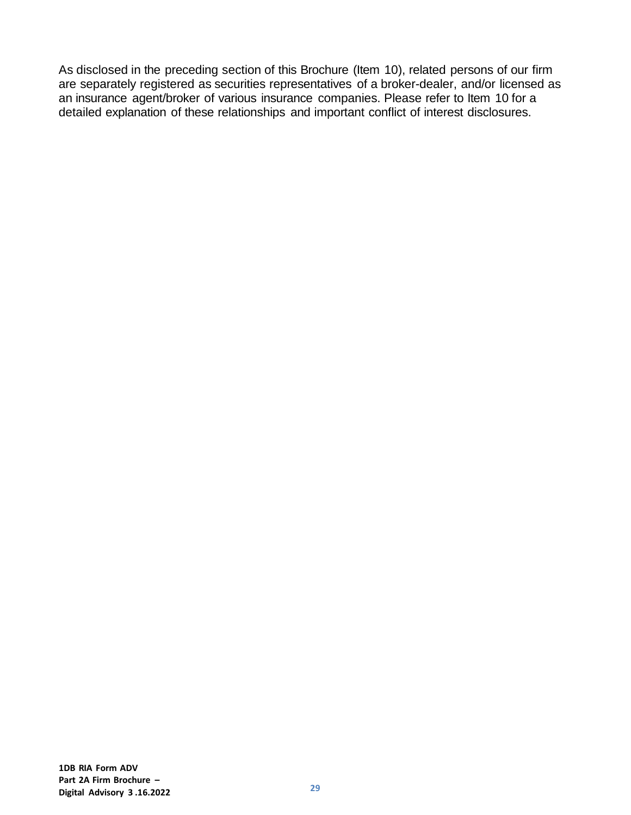As disclosed in the preceding section of this Brochure (Item 10), related persons of our firm are separately registered as securities representatives of a broker-dealer, and/or licensed as an insurance agent/broker of various insurance companies. Please refer to Item 10 for a detailed explanation of these relationships and important conflict of interest disclosures.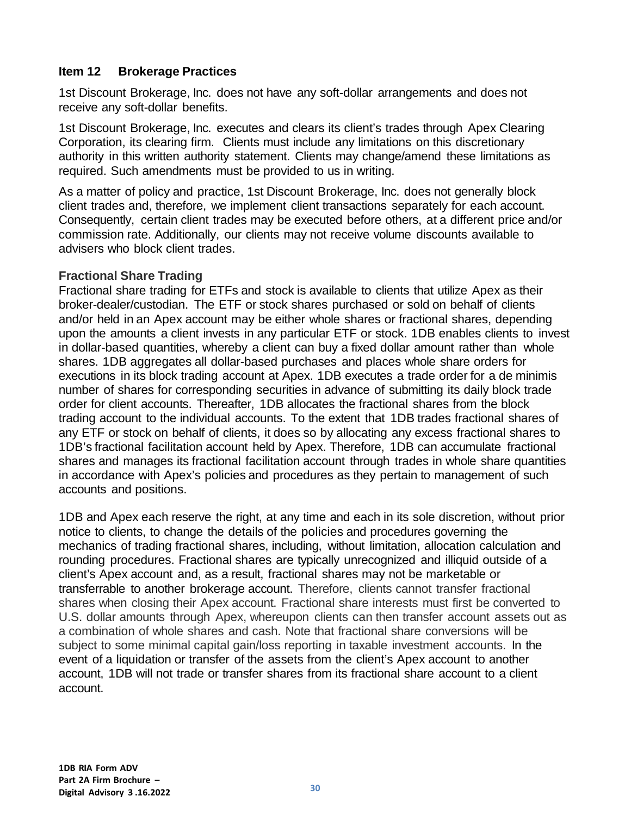### <span id="page-29-0"></span>**Item 12 Brokerage Practices**

1st Discount Brokerage, Inc. does not have any soft-dollar arrangements and does not receive any soft-dollar benefits.

1st Discount Brokerage, Inc. executes and clears its client's trades through Apex Clearing Corporation, its clearing firm. Clients must include any limitations on this discretionary authority in this written authority statement. Clients may change/amend these limitations as required. Such amendments must be provided to us in writing.

As a matter of policy and practice, 1st Discount Brokerage, Inc. does not generally block client trades and, therefore, we implement client transactions separately for each account. Consequently, certain client trades may be executed before others, at a different price and/or commission rate. Additionally, our clients may not receive volume discounts available to advisers who block client trades.

#### **Fractional Share Trading**

Fractional share trading for ETFs and stock is available to clients that utilize Apex as their broker-dealer/custodian. The ETF or stock shares purchased or sold on behalf of clients and/or held in an Apex account may be either whole shares or fractional shares, depending upon the amounts a client invests in any particular ETF or stock. 1DB enables clients to invest in dollar-based quantities, whereby a client can buy a fixed dollar amount rather than whole shares. 1DB aggregates all dollar-based purchases and places whole share orders for executions in its block trading account at Apex. 1DB executes a trade order for a de minimis number of shares for corresponding securities in advance of submitting its daily block trade order for client accounts. Thereafter, 1DB allocates the fractional shares from the block trading account to the individual accounts. To the extent that 1DB trades fractional shares of any ETF or stock on behalf of clients, it does so by allocating any excess fractional shares to 1DB's fractional facilitation account held by Apex. Therefore, 1DB can accumulate fractional shares and manages its fractional facilitation account through trades in whole share quantities in accordance with Apex's policies and procedures as they pertain to management of such accounts and positions.

1DB and Apex each reserve the right, at any time and each in its sole discretion, without prior notice to clients, to change the details of the policies and procedures governing the mechanics of trading fractional shares, including, without limitation, allocation calculation and rounding procedures. Fractional shares are typically unrecognized and illiquid outside of a client's Apex account and, as a result, fractional shares may not be marketable or transferrable to another brokerage account. Therefore, clients cannot transfer fractional shares when closing their Apex account. Fractional share interests must first be converted to U.S. dollar amounts through Apex, whereupon clients can then transfer account assets out as a combination of whole shares and cash. Note that fractional share conversions will be subject to some minimal capital gain/loss reporting in taxable investment accounts. In the event of a liquidation or transfer of the assets from the client's Apex account to another account, 1DB will not trade or transfer shares from its fractional share account to a client account.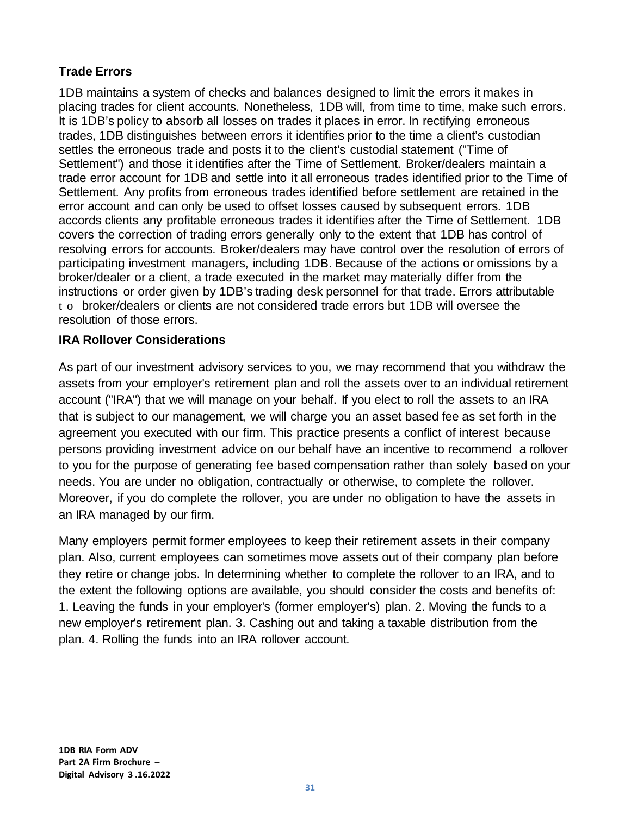# **Trade Errors**

1DB maintains a system of checks and balances designed to limit the errors it makes in placing trades for client accounts. Nonetheless, 1DB will, from time to time, make such errors. It is 1DB's policy to absorb all losses on trades it places in error. In rectifying erroneous trades, 1DB distinguishes between errors it identifies prior to the time a client's custodian settles the erroneous trade and posts it to the client's custodial statement ("Time of Settlement") and those it identifies after the Time of Settlement. Broker/dealers maintain a trade error account for 1DB and settle into it all erroneous trades identified prior to the Time of Settlement. Any profits from erroneous trades identified before settlement are retained in the error account and can only be used to offset losses caused by subsequent errors. 1DB accords clients any profitable erroneous trades it identifies after the Time of Settlement. 1DB covers the correction of trading errors generally only to the extent that 1DB has control of resolving errors for accounts. Broker/dealers may have control over the resolution of errors of participating investment managers, including 1DB. Because of the actions or omissions by a broker/dealer or a client, a trade executed in the market may materially differ from the instructions or order given by 1DB's trading desk personnel for that trade. Errors attributable t o broker/dealers or clients are not considered trade errors but 1DB will oversee the resolution of those errors.

# **IRA Rollover Considerations**

As part of our investment advisory services to you, we may recommend that you withdraw the assets from your employer's retirement plan and roll the assets over to an individual retirement account ("IRA") that we will manage on your behalf. If you elect to roll the assets to an IRA that is subject to our management, we will charge you an asset based fee as set forth in the agreement you executed with our firm. This practice presents a conflict of interest because persons providing investment advice on our behalf have an incentive to recommend a rollover to you for the purpose of generating fee based compensation rather than solely based on your needs. You are under no obligation, contractually or otherwise, to complete the rollover. Moreover, if you do complete the rollover, you are under no obligation to have the assets in an IRA managed by our firm.

Many employers permit former employees to keep their retirement assets in their company plan. Also, current employees can sometimes move assets out of their company plan before they retire or change jobs. In determining whether to complete the rollover to an IRA, and to the extent the following options are available, you should consider the costs and benefits of: 1. Leaving the funds in your employer's (former employer's) plan. 2. Moving the funds to a new employer's retirement plan. 3. Cashing out and taking a taxable distribution from the plan. 4. Rolling the funds into an IRA rollover account.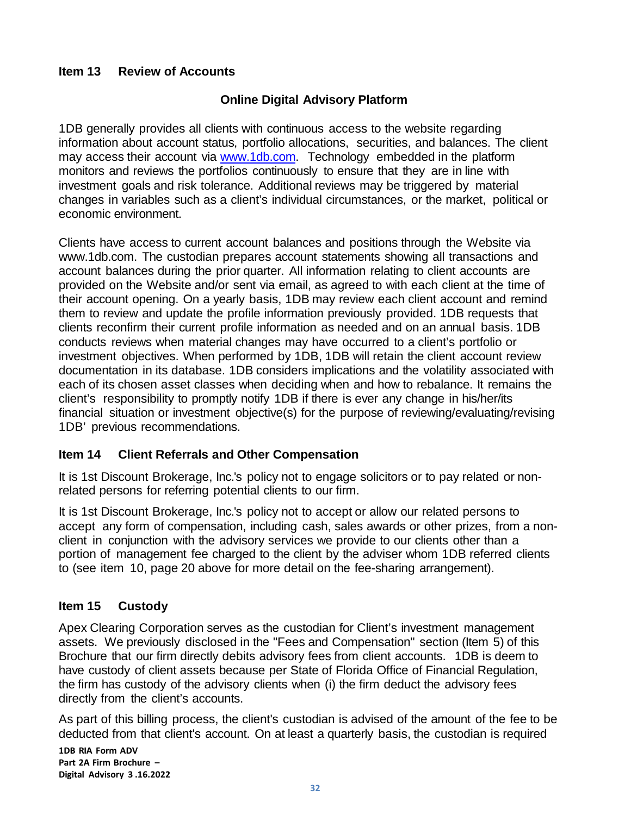## <span id="page-31-0"></span>**Item 13 Review of Accounts**

## **Online Digital Advisory Platform**

1DB generally provides all clients with continuous access to the website regarding information about account status, portfolio allocations, securities, and balances. The client may access their account via [www.1db.com.](http://www.1db.com/) Technology embedded in the platform monitors and reviews the portfolios continuously to ensure that they are in line with investment goals and risk tolerance. Additional reviews may be triggered by material changes in variables such as a client's individual circumstances, or the market, political or economic environment.

Clients have access to current account balances and positions through the Website via [www.1db.com.](http://www.1db.com/) The custodian prepares account statements showing all transactions and account balances during the prior quarter. All information relating to client accounts are provided on the Website and/or sent via email, as agreed to with each client at the time of their account opening. On a yearly basis, 1DB may review each client account and remind them to review and update the profile information previously provided. 1DB requests that clients reconfirm their current profile information as needed and on an annual basis. 1DB conducts reviews when material changes may have occurred to a client's portfolio or investment objectives. When performed by 1DB, 1DB will retain the client account review documentation in its database. 1DB considers implications and the volatility associated with each of its chosen asset classes when deciding when and how to rebalance. It remains the client's responsibility to promptly notify 1DB if there is ever any change in his/her/its financial situation or investment objective(s) for the purpose of reviewing/evaluating/revising 1DB' previous recommendations.

#### <span id="page-31-1"></span>**Item 14 Client Referrals and Other Compensation**

It is 1st Discount Brokerage, Inc.'s policy not to engage solicitors or to pay related or nonrelated persons for referring potential clients to our firm.

It is 1st Discount Brokerage, Inc.'s policy not to accept or allow our related persons to accept any form of compensation, including cash, sales awards or other prizes, from a nonclient in conjunction with the advisory services we provide to our clients other than a portion of management fee charged to the client by the adviser whom 1DB referred clients to (see item 10, page 20 above for more detail on the fee-sharing arrangement).

#### <span id="page-31-2"></span>**Item 15 Custody**

Apex Clearing Corporation serves as the custodian for Client's investment management assets. We previously disclosed in the "Fees and Compensation" section (Item 5) of this Brochure that our firm directly debits advisory fees from client accounts. 1DB is deem to have custody of client assets because per State of Florida Office of Financial Regulation, the firm has custody of the advisory clients when (i) the firm deduct the advisory fees directly from the client's accounts.

As part of this billing process, the client's custodian is advised of the amount of the fee to be deducted from that client's account. On at least a quarterly basis, the custodian is required

**1DB RIA Form ADV Part 2A Firm Brochure – Digital Advisory 3 .16.2022**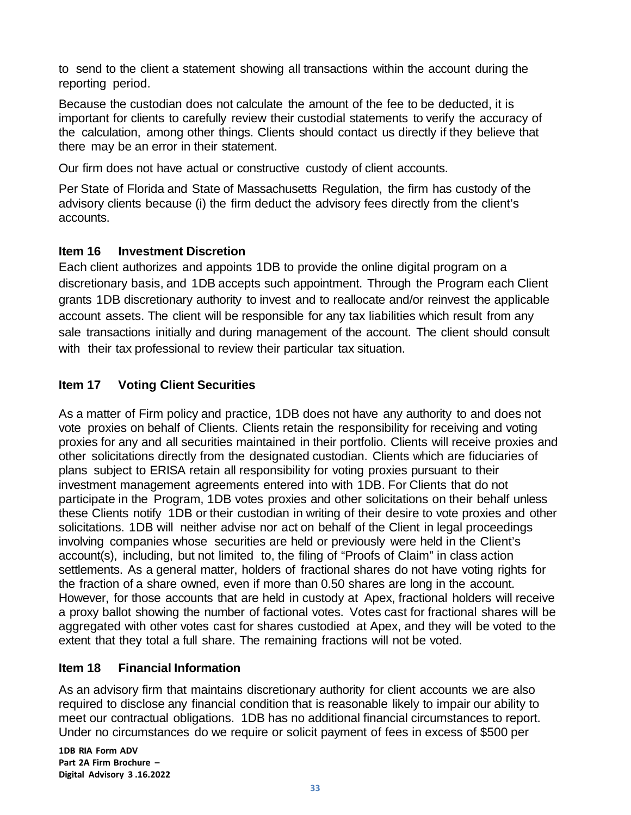to send to the client a statement showing all transactions within the account during the reporting period.

Because the custodian does not calculate the amount of the fee to be deducted, it is important for clients to carefully review their custodial statements to verify the accuracy of the calculation, among other things. Clients should contact us directly if they believe that there may be an error in their statement.

Our firm does not have actual or constructive custody of client accounts.

Per State of Florida and State of Massachusetts Regulation, the firm has custody of the advisory clients because (i) the firm deduct the advisory fees directly from the client's accounts.

# <span id="page-32-2"></span>**Item 16 Investment Discretion**

Each client authorizes and appoints 1DB to provide the online digital program on a discretionary basis, and 1DB accepts such appointment. Through the Program each Client grants 1DB discretionary authority to invest and to reallocate and/or reinvest the applicable account assets. The client will be responsible for any tax liabilities which result from any sale transactions initially and during management of the account. The client should consult with their tax professional to review their particular tax situation.

# <span id="page-32-0"></span>**Item 17 Voting Client Securities**

As a matter of Firm policy and practice, 1DB does not have any authority to and does not vote proxies on behalf of Clients. Clients retain the responsibility for receiving and voting proxies for any and all securities maintained in their portfolio. Clients will receive proxies and other solicitations directly from the designated custodian. Clients which are fiduciaries of plans subject to ERISA retain all responsibility for voting proxies pursuant to their investment management agreements entered into with 1DB. For Clients that do not participate in the Program, 1DB votes proxies and other solicitations on their behalf unless these Clients notify 1DB or their custodian in writing of their desire to vote proxies and other solicitations. 1DB will neither advise nor act on behalf of the Client in legal proceedings involving companies whose securities are held or previously were held in the Client's account(s), including, but not limited to, the filing of "Proofs of Claim" in class action settlements. As a general matter, holders of fractional shares do not have voting rights for the fraction of a share owned, even if more than 0.50 shares are long in the account. However, for those accounts that are held in custody at Apex, fractional holders will receive a proxy ballot showing the number of factional votes. Votes cast for fractional shares will be aggregated with other votes cast for shares custodied at Apex, and they will be voted to the extent that they total a full share. The remaining fractions will not be voted.

# <span id="page-32-1"></span>**Item 18 Financial Information**

As an advisory firm that maintains discretionary authority for client accounts we are also required to disclose any financial condition that is reasonable likely to impair our ability to meet our contractual obligations. 1DB has no additional financial circumstances to report. Under no circumstances do we require or solicit payment of fees in excess of \$500 per

**1DB RIA Form ADV Part 2A Firm Brochure – Digital Advisory 3 .16.2022**